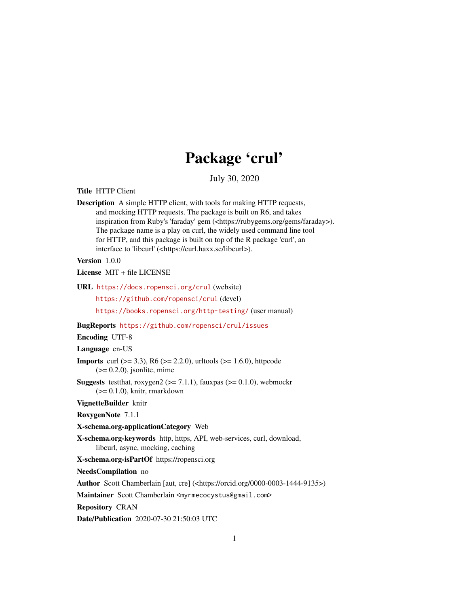# Package 'crul'

July 30, 2020

<span id="page-0-0"></span>Title HTTP Client

Description A simple HTTP client, with tools for making HTTP requests, and mocking HTTP requests. The package is built on R6, and takes inspiration from Ruby's 'faraday' gem (<https://rubygems.org/gems/faraday>). The package name is a play on curl, the widely used command line tool for HTTP, and this package is built on top of the R package 'curl', an interface to 'libcurl' (<https://curl.haxx.se/libcurl>).

Version 1.0.0

License MIT + file LICENSE

URL <https://docs.ropensci.org/crul> (website)

<https://github.com/ropensci/crul> (devel)

<https://books.ropensci.org/http-testing/> (user manual)

BugReports <https://github.com/ropensci/crul/issues>

Encoding UTF-8

Language en-US

**Imports** curl ( $> = 3.3$ ), R6 ( $> = 2.2.0$ ), urltools ( $> = 1.6.0$ ), httpcode  $(>= 0.2.0)$ , jsonlite, mime

**Suggests** testthat, roxygen2 ( $>= 7.1.1$ ), fauxpas ( $>= 0.1.0$ ), webmockr  $(>= 0.1.0)$ , knitr, rmarkdown

VignetteBuilder knitr

RoxygenNote 7.1.1

X-schema.org-applicationCategory Web

X-schema.org-keywords http, https, API, web-services, curl, download, libcurl, async, mocking, caching

X-schema.org-isPartOf https://ropensci.org

NeedsCompilation no

Author Scott Chamberlain [aut, cre] (<https://orcid.org/0000-0003-1444-9135>)

Maintainer Scott Chamberlain <myrmecocystus@gmail.com>

Repository CRAN

Date/Publication 2020-07-30 21:50:03 UTC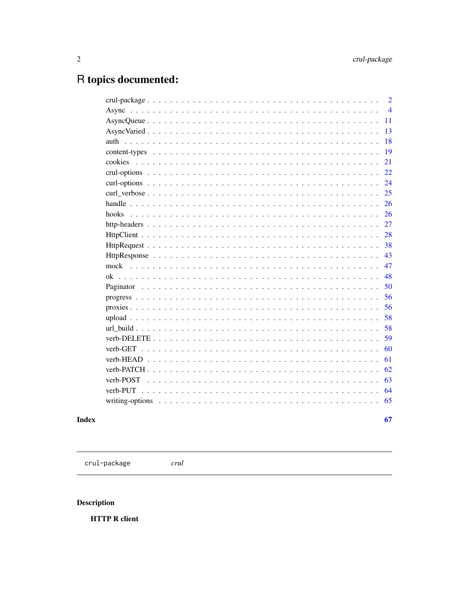# <span id="page-1-0"></span>R topics documented:

|           | $\overline{2}$ |
|-----------|----------------|
|           | $\overline{4}$ |
|           | 11             |
|           | 13             |
|           | 18             |
|           | 19             |
|           | 21             |
|           | 22             |
|           | 24             |
|           | 25             |
|           | 26             |
| hooks.    | 26             |
|           | 27             |
|           | 28             |
|           | 38             |
|           | 43             |
|           | 47             |
|           | 48             |
|           | 50             |
|           | 56             |
|           | 56             |
|           | 58             |
|           | 58             |
|           | 59             |
| verb-GET  | 60             |
|           | 61             |
|           | 62             |
| verb-POST | 63             |
| verb-PUT  | 64             |
|           | 65             |
|           |                |
|           | 67             |

# **Index**

<span id="page-1-1"></span>crul-package

 $crul$ 

# **Description**

**HTTP R client**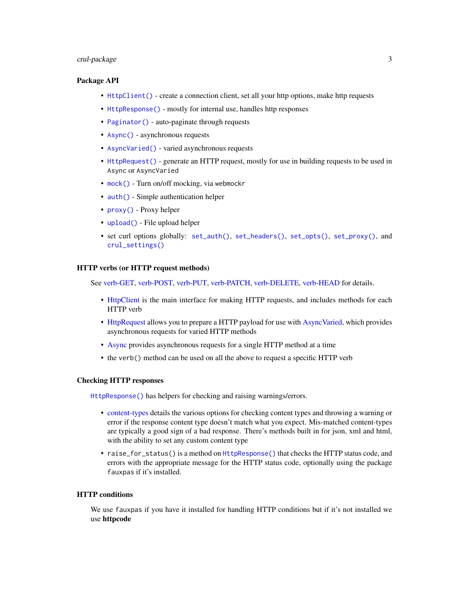# <span id="page-2-0"></span>crul-package 3

# Package API

- [HttpClient\(\)](#page-27-1) create a connection client, set all your http options, make http requests
- [HttpResponse\(\)](#page-42-1) mostly for internal use, handles http responses
- [Paginator\(\)](#page-49-1) auto-paginate through requests
- [Async\(\)](#page-3-1) asynchronous requests
- [AsyncVaried\(\)](#page-12-1) varied asynchronous requests
- [HttpRequest\(\)](#page-37-1) generate an HTTP request, mostly for use in building requests to be used in Async or AsyncVaried
- [mock\(\)](#page-46-1) Turn on/off mocking, via webmockr
- [auth\(\)](#page-17-1) Simple authentication helper
- [proxy\(\)](#page-55-1) Proxy helper
- [upload\(\)](#page-57-1) File upload helper
- set curl options globally: [set\\_auth\(\)](#page-21-1), [set\\_headers\(\)](#page-21-1), [set\\_opts\(\)](#page-21-1), [set\\_proxy\(\)](#page-21-1), and [crul\\_settings\(\)](#page-21-1)

#### HTTP verbs (or HTTP request methods)

See [verb-GET,](#page-59-1) [verb-POST,](#page-62-1) [verb-PUT,](#page-63-1) [verb-PATCH,](#page-61-1) [verb-DELETE,](#page-58-1) [verb-HEAD](#page-60-1) for details.

- [HttpClient](#page-27-1) is the main interface for making HTTP requests, and includes methods for each HTTP verb
- [HttpRequest](#page-37-1) allows you to prepare a HTTP payload for use with [AsyncVaried,](#page-12-1) which provides asynchronous requests for varied HTTP methods
- [Async](#page-3-1) provides asynchronous requests for a single HTTP method at a time
- the verb() method can be used on all the above to request a specific HTTP verb

# Checking HTTP responses

[HttpResponse\(\)](#page-42-1) has helpers for checking and raising warnings/errors.

- [content-types](#page-18-1) details the various options for checking content types and throwing a warning or error if the response content type doesn't match what you expect. Mis-matched content-types are typically a good sign of a bad response. There's methods built in for json, xml and html, with the ability to set any custom content type
- raise\_for\_status() is a method on [HttpResponse\(\)](#page-42-1) that checks the HTTP status code, and errors with the appropriate message for the HTTP status code, optionally using the package fauxpas if it's installed.

#### HTTP conditions

We use fauxpas if you have it installed for handling HTTP conditions but if it's not installed we use httpcode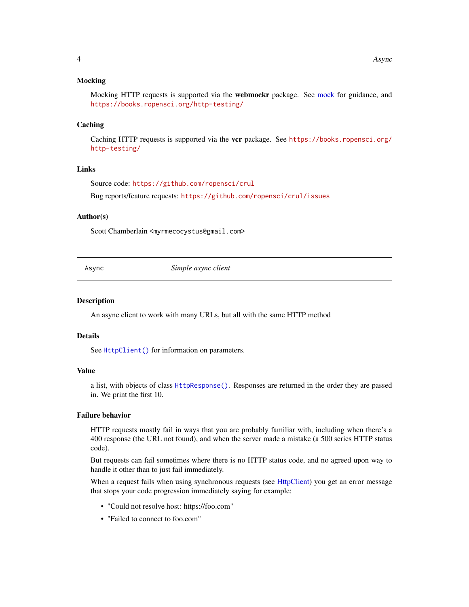#### <span id="page-3-0"></span>Mocking

Mocking HTTP requests is supported via the web[mock](#page-46-1)r package. See mock for guidance, and <https://books.ropensci.org/http-testing/>

### **Caching**

Caching HTTP requests is supported via the vcr package. See [https://books.ropensci.org/](https://books.ropensci.org/http-testing/) [http-testing/](https://books.ropensci.org/http-testing/)

# Links

Source code: <https://github.com/ropensci/crul>

Bug reports/feature requests: <https://github.com/ropensci/crul/issues>

#### Author(s)

Scott Chamberlain <myrmecocystus@gmail.com>

<span id="page-3-1"></span>

Async *Simple async client*

#### Description

An async client to work with many URLs, but all with the same HTTP method

#### Details

See [HttpClient\(\)](#page-27-1) for information on parameters.

# Value

a list, with objects of class [HttpResponse\(\)](#page-42-1). Responses are returned in the order they are passed in. We print the first 10.

# Failure behavior

HTTP requests mostly fail in ways that you are probably familiar with, including when there's a 400 response (the URL not found), and when the server made a mistake (a 500 series HTTP status code).

But requests can fail sometimes where there is no HTTP status code, and no agreed upon way to handle it other than to just fail immediately.

When a request fails when using synchronous requests (see [HttpClient\)](#page-27-1) you get an error message that stops your code progression immediately saying for example:

- "Could not resolve host: https://foo.com"
- "Failed to connect to foo.com"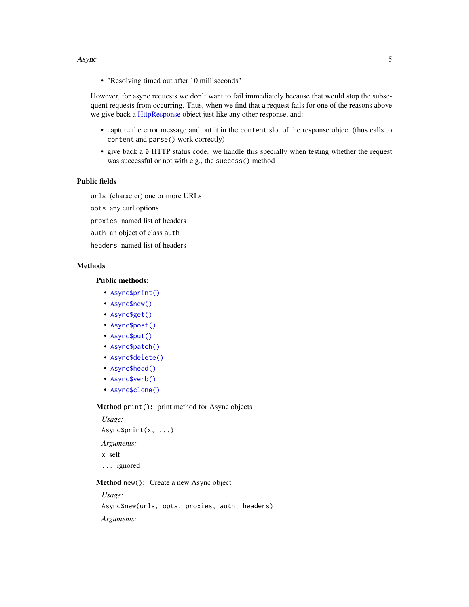#### <span id="page-4-2"></span>Async 5

• "Resolving timed out after 10 milliseconds"

However, for async requests we don't want to fail immediately because that would stop the subsequent requests from occurring. Thus, when we find that a request fails for one of the reasons above we give back a [HttpResponse](#page-42-1) object just like any other response, and:

- capture the error message and put it in the content slot of the response object (thus calls to content and parse() work correctly)
- give back a 0 HTTP status code. we handle this specially when testing whether the request was successful or not with e.g., the success() method

# Public fields

urls (character) one or more URLs

opts any curl options

proxies named list of headers

- auth an object of class auth
- headers named list of headers

# Methods

# Public methods:

- [Async\\$print\(\)](#page-4-0)
- [Async\\$new\(\)](#page-4-1)
- [Async\\$get\(\)](#page-5-0)
- [Async\\$post\(\)](#page-5-1)
- [Async\\$put\(\)](#page-6-0)
- [Async\\$patch\(\)](#page-6-1)
- [Async\\$delete\(\)](#page-7-0)
- [Async\\$head\(\)](#page-7-1)
- [Async\\$verb\(\)](#page-7-2)
- [Async\\$clone\(\)](#page-8-0)

# <span id="page-4-0"></span>Method print(): print method for Async objects

*Usage:* Async\$print(x, ...) *Arguments:* x self ... ignored

# <span id="page-4-1"></span>Method new(): Create a new Async object

*Usage:* Async\$new(urls, opts, proxies, auth, headers) *Arguments:*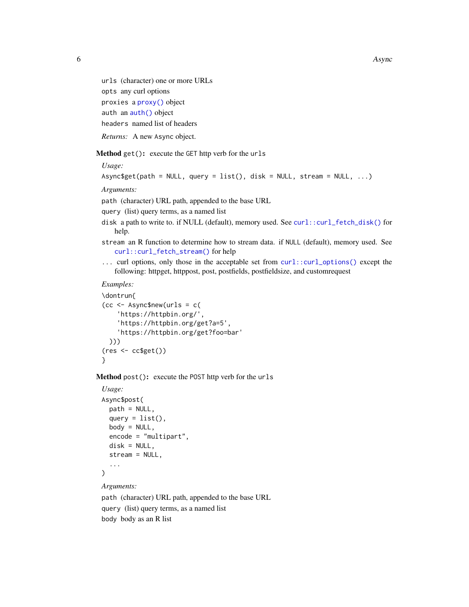<span id="page-5-2"></span>6 asymptotes and the set of the set of the set of the set of the set of the set of the set of the set of the set of the set of the set of the set of the set of the set of the set of the set of the set of the set of the set

urls (character) one or more URLs opts any curl options proxies a [proxy\(\)](#page-55-1) object auth an [auth\(\)](#page-17-1) object headers named list of headers *Returns:* A new Async object.

<span id="page-5-0"></span>Method get(): execute the GET http verb for the urls

*Usage:*

```
Async$get(path = NULL, query = list(), disk = NULL, stream = NULL, ...)
```
*Arguments:*

path (character) URL path, appended to the base URL

query (list) query terms, as a named list

- disk a path to write to. if NULL (default), memory used. See [curl::curl\\_fetch\\_disk\(\)](#page-0-0) for help.
- stream an R function to determine how to stream data. if NULL (default), memory used. See [curl::curl\\_fetch\\_stream\(\)](#page-0-0) for help
- ... curl options, only those in the acceptable set from [curl::curl\\_options\(\)](#page-0-0) except the following: httpget, httppost, post, postfields, postfieldsize, and customrequest

#### *Examples:*

```
\dontrun{
(cc < - Async$new(urls = c('https://httpbin.org/',
    'https://httpbin.org/get?a=5',
    'https://httpbin.org/get?foo=bar'
 )))
(res \leftarrow cc\}
```
<span id="page-5-1"></span>Method post(): execute the POST http verb for the urls

```
Usage:
Async$post(
 path = NULL,
  query = list(),
  body = NULL,
  encode = "multipart",
  disk = NULL,
  stream = NULL,
  ...
\lambda
```
#### *Arguments:*

path (character) URL path, appended to the base URL query (list) query terms, as a named list body body as an R list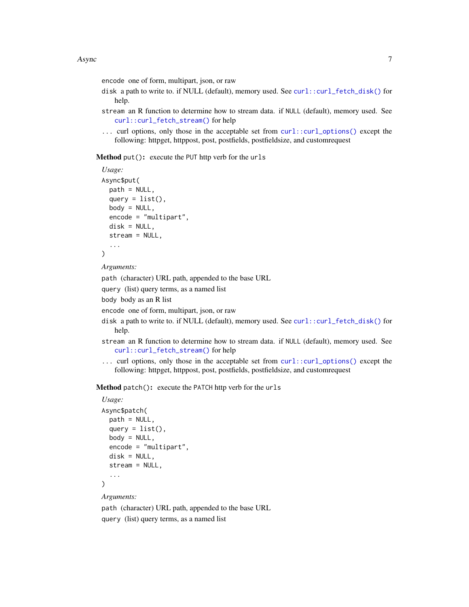encode one of form, multipart, json, or raw

- disk a path to write to. if NULL (default), memory used. See [curl::curl\\_fetch\\_disk\(\)](#page-0-0) for help.
- stream an R function to determine how to stream data. if NULL (default), memory used. See [curl::curl\\_fetch\\_stream\(\)](#page-0-0) for help
- ... curl options, only those in the acceptable set from [curl::curl\\_options\(\)](#page-0-0) except the following: httpget, httppost, post, postfields, postfieldsize, and customrequest

<span id="page-6-0"></span>Method put(): execute the PUT http verb for the urls

```
Usage:
Async$put(
  path = NULL,
  query = list(),
  body = NULL,encode = "multipart",
  disk = NULL,
  stream = NULL,
  ...
\mathcal{L}
```
*Arguments:*

path (character) URL path, appended to the base URL

query (list) query terms, as a named list

body body as an R list

encode one of form, multipart, json, or raw

- disk a path to write to. if NULL (default), memory used. See [curl::curl\\_fetch\\_disk\(\)](#page-0-0) for help.
- stream an R function to determine how to stream data. if NULL (default), memory used. See [curl::curl\\_fetch\\_stream\(\)](#page-0-0) for help
- ... curl options, only those in the acceptable set from [curl::curl\\_options\(\)](#page-0-0) except the following: httpget, httppost, post, postfields, postfieldsize, and customrequest

<span id="page-6-1"></span>Method patch(): execute the PATCH http verb for the urls

# *Usage:*

```
Async$patch(
 path = NULL,
  query = list(),
 body = NULL,encode = "multipart",
 disk = NULL,
  stream = NULL,
  ...
)
```
*Arguments:*

path (character) URL path, appended to the base URL query (list) query terms, as a named list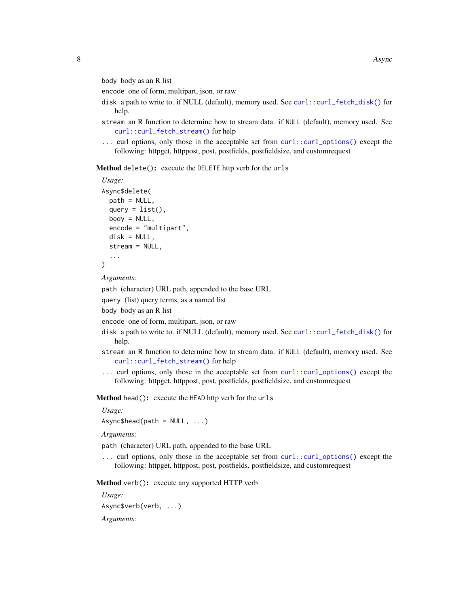<span id="page-7-3"></span>body body as an R list

encode one of form, multipart, json, or raw

- disk a path to write to. if NULL (default), memory used. See curl:: $curl_f etch_disk()$  for help.
- stream an R function to determine how to stream data. if NULL (default), memory used. See [curl::curl\\_fetch\\_stream\(\)](#page-0-0) for help
- ... curl options, only those in the acceptable set from [curl::curl\\_options\(\)](#page-0-0) except the following: httpget, httppost, post, postfields, postfieldsize, and customrequest

<span id="page-7-0"></span>Method delete(): execute the DELETE http verb for the urls

```
Usage:
Async$delete(
  path = NULL,
  query = list(),
  body = NULL,
  encode = "multipart",
  disk = NULL,stream = NULL,
  ...
)
```
*Arguments:*

path (character) URL path, appended to the base URL

query (list) query terms, as a named list

body body as an R list

encode one of form, multipart, json, or raw

- disk a path to write to. if NULL (default), memory used. See [curl::curl\\_fetch\\_disk\(\)](#page-0-0) for help.
- stream an R function to determine how to stream data. if NULL (default), memory used. See [curl::curl\\_fetch\\_stream\(\)](#page-0-0) for help
- ... curl options, only those in the acceptable set from [curl::curl\\_options\(\)](#page-0-0) except the following: httpget, httppost, post, postfields, postfieldsize, and customrequest

<span id="page-7-1"></span>Method head(): execute the HEAD http verb for the urls

*Usage:*

 $Async$head(path = NULL, ...)$ 

*Arguments:*

path (character) URL path, appended to the base URL

... curl options, only those in the acceptable set from [curl::curl\\_options\(\)](#page-0-0) except the following: httpget, httppost, post, postfields, postfieldsize, and customrequest

<span id="page-7-2"></span>Method verb(): execute any supported HTTP verb

*Usage:*

Async\$verb(verb, ...)

*Arguments:*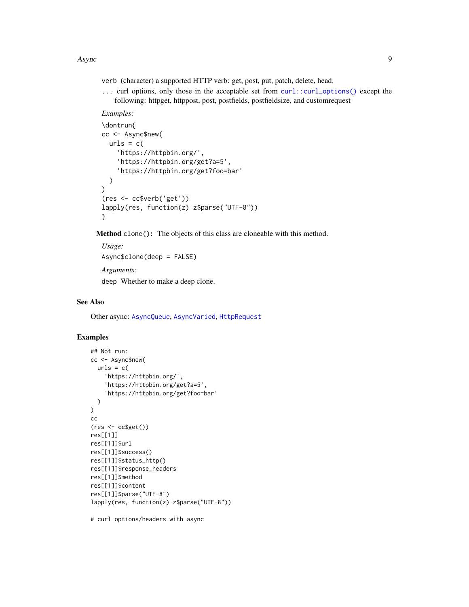#### <span id="page-8-1"></span>Async 2008 and 2008 and 2008 and 2008 and 2008 and 2008 and 2008 and 2008 and 2008 and 2008 and 2008 and 2008

verb (character) a supported HTTP verb: get, post, put, patch, delete, head.

... curl options, only those in the acceptable set from [curl::curl\\_options\(\)](#page-0-0) except the following: httpget, httppost, post, postfields, postfieldsize, and customrequest

# *Examples:*

```
\dontrun{
cc <- Async$new(
  urls = c('https://httpbin.org/',
    'https://httpbin.org/get?a=5',
    'https://httpbin.org/get?foo=bar'
  )
\mathcal{L}(res <- cc$verb('get'))
lapply(res, function(z) z$parse("UTF-8"))
}
```
<span id="page-8-0"></span>Method clone(): The objects of this class are cloneable with this method.

```
Usage:
Async$clone(deep = FALSE)
Arguments:
deep Whether to make a deep clone.
```
# See Also

Other async: [AsyncQueue](#page-10-1), [AsyncVaried](#page-12-1), [HttpRequest](#page-37-1)

# Examples

```
## Not run:
cc <- Async$new(
  urls = c('https://httpbin.org/',
    'https://httpbin.org/get?a=5',
    'https://httpbin.org/get?foo=bar'
  )
\mathcal{L}cc
(res <- cc$get())
res[[1]]
res[[1]]$url
res[[1]]$success()
res[[1]]$status_http()
res[[1]]$response_headers
res[[1]]$method
res[[1]]$content
res[[1]]$parse("UTF-8")
lapply(res, function(z) z$parse("UTF-8"))
```
# curl options/headers with async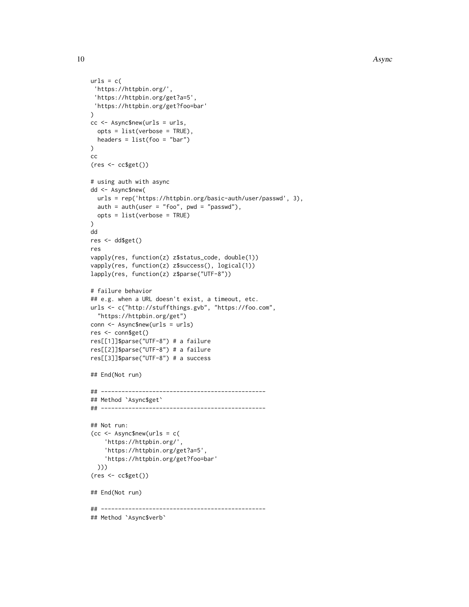```
urls = c('https://httpbin.org/',
 'https://httpbin.org/get?a=5',
 'https://httpbin.org/get?foo=bar'
)
cc <- Async$new(urls = urls,
 opts = list(verbose = TRUE),
  headers = list(foo = "bar")\lambdacc
(res <- cc$get())
# using auth with async
dd <- Async$new(
  urls = rep('https://httpbin.org/basic-auth/user/passwd', 3),
  auth = author(user = "foo", pwd = "passwd"),opts = list(verbose = TRUE)
)
dd
res <- dd$get()
res
vapply(res, function(z) z$status_code, double(1))
vapply(res, function(z) z$success(), logical(1))
lapply(res, function(z) z$parse("UTF-8"))
# failure behavior
## e.g. when a URL doesn't exist, a timeout, etc.
urls <- c("http://stuffthings.gvb", "https://foo.com",
  "https://httpbin.org/get")
conn <- Async$new(urls = urls)
res <- conn$get()
res[[1]]$parse("UTF-8") # a failure
res[[2]]$parse("UTF-8") # a failure
res[[3]]$parse("UTF-8") # a success
## End(Not run)
## ------------------------------------------------
## Method `Async$get`
## ------------------------------------------------
## Not run:
(cc <- Async$new(urls = c(
    'https://httpbin.org/',
    'https://httpbin.org/get?a=5',
    'https://httpbin.org/get?foo=bar'
  )))
(res <- cc$get())
## End(Not run)
## ------------------------------------------------
## Method `Async$verb`
```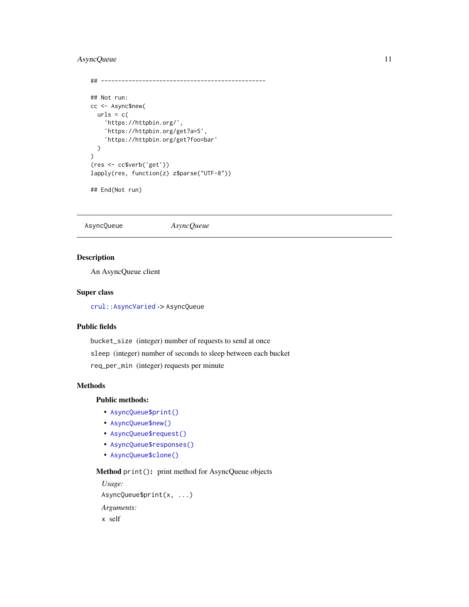# <span id="page-10-0"></span>AsyncQueue 11

```
## ------------------------------------------------
## Not run:
cc <- Async$new(
 urls = c('https://httpbin.org/',
    'https://httpbin.org/get?a=5',
    'https://httpbin.org/get?foo=bar'
  \mathcal{L}\lambda(res <- cc$verb('get'))
lapply(res, function(z) z$parse("UTF-8"))
```

```
## End(Not run)
```
<span id="page-10-1"></span>AsyncQueue *AsyncQueue*

# Description

An AsyncQueue client

#### Super class

[crul::AsyncVaried](#page-0-0) -> AsyncQueue

# Public fields

bucket\_size (integer) number of requests to send at once sleep (integer) number of seconds to sleep between each bucket req\_per\_min (integer) requests per minute

# Methods

# Public methods:

- [AsyncQueue\\$print\(\)](#page-4-0)
- [AsyncQueue\\$new\(\)](#page-4-1)
- [AsyncQueue\\$request\(\)](#page-11-0)
- [AsyncQueue\\$responses\(\)](#page-11-1)
- [AsyncQueue\\$clone\(\)](#page-8-0)

Method print(): print method for AsyncQueue objects

```
Usage:
AsyncQueue$print(x, ...)
Arguments:
x self
```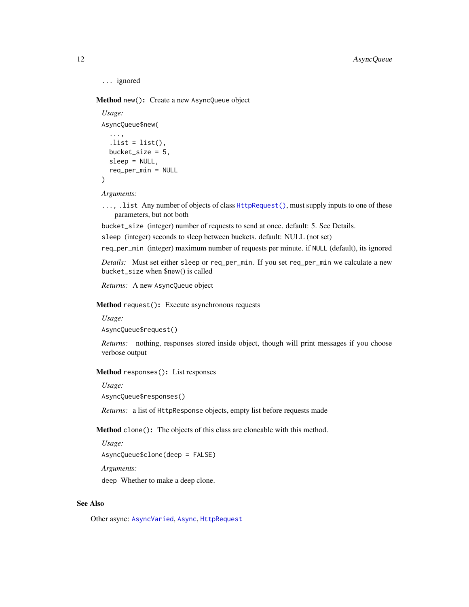```
... ignored
```
Method new(): Create a new AsyncQueue object

```
Usage:
AsyncQueue$new(
  ...,
  . list = list(),
 bucket_size = 5,
 sleep = NULL,
  req_per_min = NULL
)
```
*Arguments:*

..., .list Any number of objects of class [HttpRequest\(\)](#page-37-1), must supply inputs to one of these parameters, but not both

bucket\_size (integer) number of requests to send at once. default: 5. See Details.

sleep (integer) seconds to sleep between buckets. default: NULL (not set)

req\_per\_min (integer) maximum number of requests per minute. if NULL (default), its ignored

*Details:* Must set either sleep or req\_per\_min. If you set req\_per\_min we calculate a new bucket\_size when \$new() is called

*Returns:* A new AsyncQueue object

<span id="page-11-0"></span>Method request(): Execute asynchronous requests

*Usage:*

AsyncQueue\$request()

*Returns:* nothing, responses stored inside object, though will print messages if you choose verbose output

<span id="page-11-1"></span>Method responses(): List responses

*Usage:*

AsyncQueue\$responses()

*Returns:* a list of HttpResponse objects, empty list before requests made

Method clone(): The objects of this class are cloneable with this method.

*Usage:*

AsyncQueue\$clone(deep = FALSE)

*Arguments:*

deep Whether to make a deep clone.

# See Also

Other async: [AsyncVaried](#page-12-1), [Async](#page-3-1), [HttpRequest](#page-37-1)

<span id="page-11-2"></span>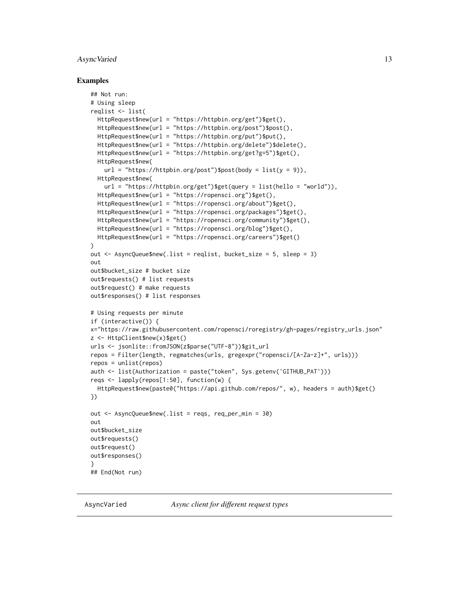#### <span id="page-12-0"></span>AsyncVaried 13

#### Examples

```
## Not run:
# Using sleep
reqlist <- list(
 HttpRequest$new(url = "https://httpbin.org/get")$get(),
 HttpRequest$new(url = "https://httpbin.org/post")$post(),
 HttpRequest$new(url = "https://httpbin.org/put")$put(),
 HttpRequest$new(url = "https://httpbin.org/delete")$delete(),
 HttpRequest$new(url = "https://httpbin.org/get?g=5")$get(),
 HttpRequest$new(
   url = "https://httpbin.org/post")\$post(body = list(y = 9)),HttpRequest$new(
   url = "https://httpbin.org/get")$get(query = list(hello = "world")),
 HttpRequest$new(url = "https://ropensci.org")$get(),
 HttpRequest$new(url = "https://ropensci.org/about")$get(),
 HttpRequest$new(url = "https://ropensci.org/packages")$get(),
 HttpRequest$new(url = "https://ropensci.org/community")$get(),
 HttpRequest$new(url = "https://ropensci.org/blog")$get(),
 HttpRequest$new(url = "https://ropensci.org/careers")$get()
)
out <- AsyncQueue$new(.list = reqlist, bucket_size = 5, sleep = 3)
out
out$bucket_size # bucket size
out$requests() # list requests
out$request() # make requests
out$responses() # list responses
# Using requests per minute
if (interactive()) {
x="https://raw.githubusercontent.com/ropensci/roregistry/gh-pages/registry_urls.json"
z <- HttpClient$new(x)$get()
urls <- jsonlite::fromJSON(z$parse("UTF-8"))$git_url
repos = Filter(length, regmatches(urls, gregexpr("ropensci/[A-Za-z]+", urls)))
repos = unlist(repos)
auth <- list(Authorization = paste("token", Sys.getenv('GITHUB_PAT')))
reqs <- lapply(repos[1:50], function(w) {
 HttpRequest$new(paste0("https://api.github.com/repos/", w), headers = auth)$get()
})
out <- AsyncQueue$new(.list = reqs, req_per_min = 30)
out
out$bucket_size
out$requests()
out$request()
out$responses()
}
## End(Not run)
```
<span id="page-12-1"></span>AsyncVaried *Async client for different request types*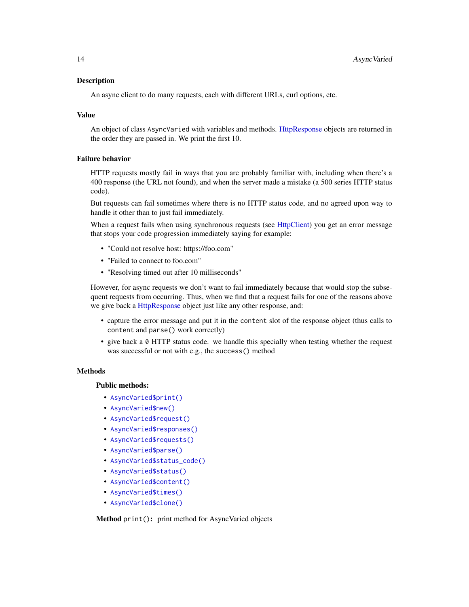# <span id="page-13-0"></span>**Description**

An async client to do many requests, each with different URLs, curl options, etc.

#### Value

An object of class AsyncVaried with variables and methods. [HttpResponse](#page-42-1) objects are returned in the order they are passed in. We print the first 10.

#### Failure behavior

HTTP requests mostly fail in ways that you are probably familiar with, including when there's a 400 response (the URL not found), and when the server made a mistake (a 500 series HTTP status code).

But requests can fail sometimes where there is no HTTP status code, and no agreed upon way to handle it other than to just fail immediately.

When a request fails when using synchronous requests (see [HttpClient\)](#page-27-1) you get an error message that stops your code progression immediately saying for example:

- "Could not resolve host: https://foo.com"
- "Failed to connect to foo.com"
- "Resolving timed out after 10 milliseconds"

However, for async requests we don't want to fail immediately because that would stop the subsequent requests from occurring. Thus, when we find that a request fails for one of the reasons above we give back a [HttpResponse](#page-42-1) object just like any other response, and:

- capture the error message and put it in the content slot of the response object (thus calls to content and parse() work correctly)
- give back a 0 HTTP status code. we handle this specially when testing whether the request was successful or not with e.g., the success() method

# **Methods**

#### Public methods:

- [AsyncVaried\\$print\(\)](#page-4-0)
- [AsyncVaried\\$new\(\)](#page-4-1)
- [AsyncVaried\\$request\(\)](#page-11-0)
- [AsyncVaried\\$responses\(\)](#page-11-1)
- [AsyncVaried\\$requests\(\)](#page-14-0)
- [AsyncVaried\\$parse\(\)](#page-14-1)
- [AsyncVaried\\$status\\_code\(\)](#page-14-2)
- [AsyncVaried\\$status\(\)](#page-14-3)
- [AsyncVaried\\$content\(\)](#page-15-0)
- [AsyncVaried\\$times\(\)](#page-15-1)
- [AsyncVaried\\$clone\(\)](#page-8-0)

Method print(): print method for AsyncVaried objects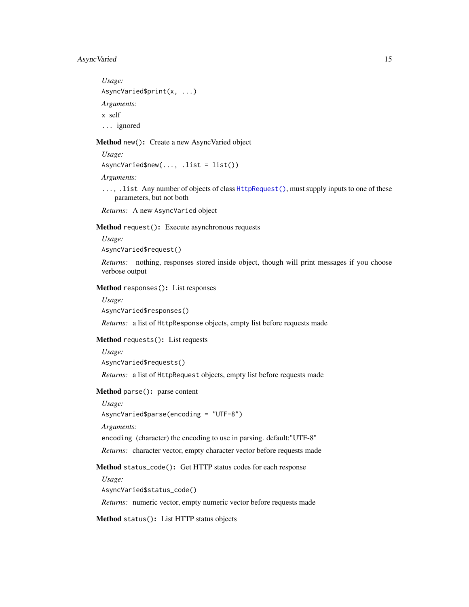# <span id="page-14-4"></span>AsyncVaried 15

*Usage:* AsyncVaried\$print(x, ...) *Arguments:* x self ... ignored

#### Method new(): Create a new AsyncVaried object

*Usage:*

AsyncVaried\$new(..., .list = list())

*Arguments:*

..., .list Any number of objects of class [HttpRequest\(\)](#page-37-1), must supply inputs to one of these parameters, but not both

*Returns:* A new AsyncVaried object

Method request(): Execute asynchronous requests

*Usage:*

AsyncVaried\$request()

*Returns:* nothing, responses stored inside object, though will print messages if you choose verbose output

Method responses(): List responses

*Usage:*

AsyncVaried\$responses()

*Returns:* a list of HttpResponse objects, empty list before requests made

#### <span id="page-14-0"></span>Method requests(): List requests

*Usage:*

AsyncVaried\$requests()

*Returns:* a list of HttpRequest objects, empty list before requests made

<span id="page-14-1"></span>Method parse(): parse content

*Usage:* AsyncVaried\$parse(encoding = "UTF-8") *Arguments:* encoding (character) the encoding to use in parsing. default:"UTF-8" *Returns:* character vector, empty character vector before requests made

<span id="page-14-2"></span>Method status\_code(): Get HTTP status codes for each response

*Usage:* AsyncVaried\$status\_code()

*Returns:* numeric vector, empty numeric vector before requests made

<span id="page-14-3"></span>Method status(): List HTTP status objects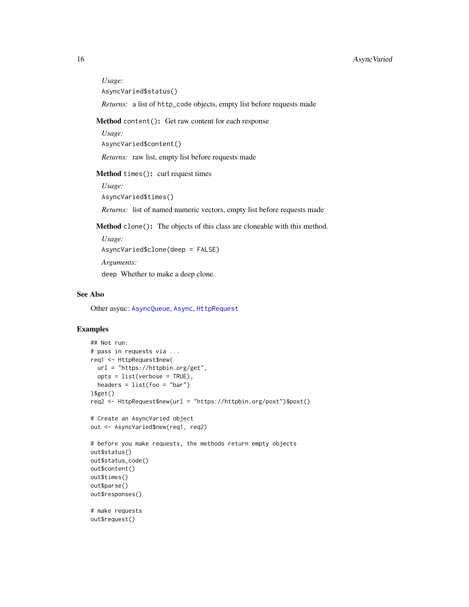*Usage:* AsyncVaried\$status()

*Returns:* a list of http\_code objects, empty list before requests made

#### <span id="page-15-0"></span>Method content(): Get raw content for each response

*Usage:* AsyncVaried\$content() *Returns:* raw list, empty list before requests made

<span id="page-15-1"></span>Method times(): curl request times

*Usage:* AsyncVaried\$times()

*Returns:* list of named numeric vectors, empty list before requests made

Method clone(): The objects of this class are cloneable with this method.

*Usage:* AsyncVaried\$clone(deep = FALSE) *Arguments:* deep Whether to make a deep clone.

# See Also

Other async: [AsyncQueue](#page-10-1), [Async](#page-3-1), [HttpRequest](#page-37-1)

# Examples

```
## Not run:
# pass in requests via ...
req1 <- HttpRequest$new(
 url = "https://httpbin.org/get",
  opts = list(verbose = TRUE),
 headers = list(foo = "bar"))$get()
req2 <- HttpRequest$new(url = "https://httpbin.org/post")$post()
# Create an AsyncVaried object
out <- AsyncVaried$new(req1, req2)
# before you make requests, the methods return empty objects
out$status()
out$status_code()
out$content()
out$times()
out$parse()
out$responses()
# make requests
out$request()
```
<span id="page-15-2"></span>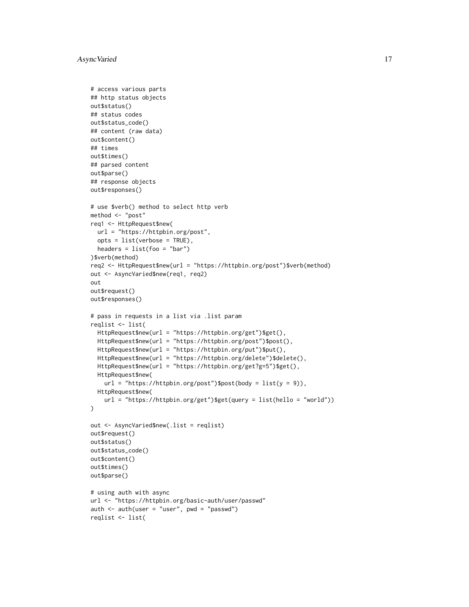```
# access various parts
## http status objects
out$status()
## status codes
out$status_code()
## content (raw data)
out$content()
## times
out$times()
## parsed content
out$parse()
## response objects
out$responses()
# use $verb() method to select http verb
method <- "post"
req1 <- HttpRequest$new(
 url = "https://httpbin.org/post",
  opts = list(verbose = TRUE),
  headers = list(foo = "bar"))$verb(method)
req2 <- HttpRequest$new(url = "https://httpbin.org/post")$verb(method)
out <- AsyncVaried$new(req1, req2)
out
out$request()
out$responses()
# pass in requests in a list via .list param
reqlist <- list(
  HttpRequest$new(url = "https://httpbin.org/get")$get(),
  HttpRequest$new(url = "https://httpbin.org/post")$post(),
  HttpRequest$new(url = "https://httpbin.org/put")$put(),
  HttpRequest$new(url = "https://httpbin.org/delete")$delete(),
  HttpRequest$new(url = "https://httpbin.org/get?g=5")$get(),
  HttpRequest$new(
    url = "https://httpbin.org/post")$post(body = list(y = 9)),HttpRequest$new(
    url = "https://httpbin.org/get")$get(query = list(hello = "world"))
)
out <- AsyncVaried$new(.list = reqlist)
out$request()
out$status()
out$status_code()
out$content()
out$times()
out$parse()
# using auth with async
url <- "https://httpbin.org/basic-auth/user/passwd"
auth \le auth(user = "user", pwd = "passwd")
reqlist <- list(
```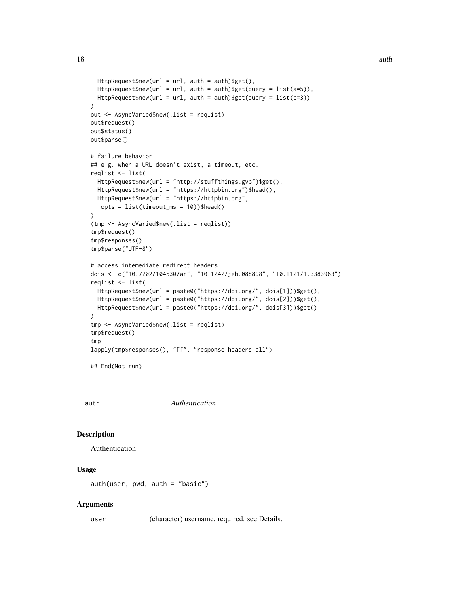```
HttpRequest$new(url = url, auth = auth)$$get(),HttpRequest$new(url = url, auth = auth)$get(query = list(a=5)),
 HttpRequest$new(url = url, auth = auth)$get(query = list(b=3))
\mathcal{L}out <- AsyncVaried$new(.list = reqlist)
out$request()
out$status()
out$parse()
# failure behavior
## e.g. when a URL doesn't exist, a timeout, etc.
reqlist <- list(
 HttpRequest$new(url = "http://stuffthings.gvb")$get(),
 HttpRequest$new(url = "https://httpbin.org")$head(),
 HttpRequest$new(url = "https://httpbin.org",
  opts = list(timeout_ms = 10))$head()
)
(tmp <- AsyncVaried$new(.list = reqlist))
tmp$request()
tmp$responses()
tmp$parse("UTF-8")
# access intemediate redirect headers
dois <- c("10.7202/1045307ar", "10.1242/jeb.088898", "10.1121/1.3383963")
reqlist <- list(
  HttpRequest$new(url = paste0("https://doi.org/", dois[1]))$get(),
  HttpRequest$new(url = paste0("https://doi.org/", dois[2]))$get(),
 HttpRequest$new(url = paste0("https://doi.org/", dois[3]))$get()
)
tmp <- AsyncVaried$new(.list = reqlist)
tmp$request()
tmp
lapply(tmp$responses(), "[[", "response_headers_all")
## End(Not run)
```
<span id="page-17-1"></span>auth *Authentication*

# **Description**

Authentication

# Usage

auth(user, pwd, auth = "basic")

#### Arguments

user (character) username, required. see Details.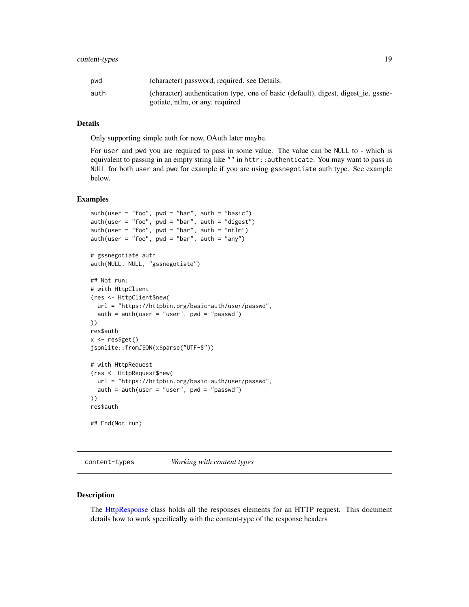# <span id="page-18-0"></span>content-types 19

| pwd  | (character) password, required, see Details.                                                                          |
|------|-----------------------------------------------------------------------------------------------------------------------|
| auth | (character) authentication type, one of basic (default), digest, digest ie, gssne-<br>gotiate, ntlm, or any, required |
|      |                                                                                                                       |

#### Details

Only supporting simple auth for now, OAuth later maybe.

For user and pwd you are required to pass in some value. The value can be NULL to - which is equivalent to passing in an empty string like "" in httr::authenticate. You may want to pass in NULL for both user and pwd for example if you are using gssnegotiate auth type. See example below.

# Examples

```
auth(user = "foo", pwd = "bar", auth = "basic")auth(user = "foo", pwd = "bar", auth = "digest")
auth(user = "foo", pwd = "bar", auth = "ntlm")auth(user = "foo", pwd = "bar", auth = "any")# gssnegotiate auth
auth(NULL, NULL, "gssnegotiate")
## Not run:
# with HttpClient
(res <- HttpClient$new(
  url = "https://httpbin.org/basic-auth/user/passwd",
  auth = author(user = 'user", pwd = 'passwd")))
res$auth
x \leftarrow \text{res}\get()
jsonlite::fromJSON(x$parse("UTF-8"))
# with HttpRequest
(res <- HttpRequest$new(
 url = "https://httpbin.org/basic-auth/user/passwd",
  auth = author(user = "user", pwd = "passwd")))
res$auth
## End(Not run)
```
<span id="page-18-1"></span>content-types *Working with content types*

# Description

The [HttpResponse](#page-42-1) class holds all the responses elements for an HTTP request. This document details how to work specifically with the content-type of the response headers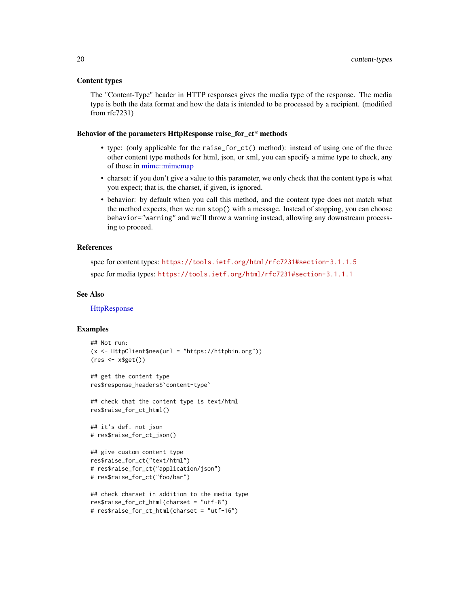#### <span id="page-19-0"></span>Content types

The "Content-Type" header in HTTP responses gives the media type of the response. The media type is both the data format and how the data is intended to be processed by a recipient. (modified from rfc7231)

#### Behavior of the parameters HttpResponse raise\_for\_ct\* methods

- type: (only applicable for the raise\_for\_ct() method): instead of using one of the three other content type methods for html, json, or xml, you can specify a mime type to check, any of those in [mime::mimemap](#page-0-0)
- charset: if you don't give a value to this parameter, we only check that the content type is what you expect; that is, the charset, if given, is ignored.
- behavior: by default when you call this method, and the content type does not match what the method expects, then we run stop() with a message. Instead of stopping, you can choose behavior="warning" and we'll throw a warning instead, allowing any downstream processing to proceed.

#### References

```
spec for content types: https://tools.ietf.org/html/rfc7231#section-3.1.1.5
spec for media types: https://tools.ietf.org/html/rfc7231#section-3.1.1.1
```
#### See Also

**[HttpResponse](#page-42-1)** 

#### Examples

```
## Not run:
(x <- HttpClient$new(url = "https://httpbin.org"))
(res <- x$get())
```

```
## get the content type
res$response_headers$`content-type`
```
## check that the content type is text/html res\$raise\_for\_ct\_html()

```
## it's def. not json
# res$raise_for_ct_json()
```

```
## give custom content type
res$raise_for_ct("text/html")
# res$raise_for_ct("application/json")
# res$raise_for_ct("foo/bar")
```

```
## check charset in addition to the media type
res$raise_for_ct_html(charset = "utf-8")
# res$raise_for_ct_html(charset = "utf-16")
```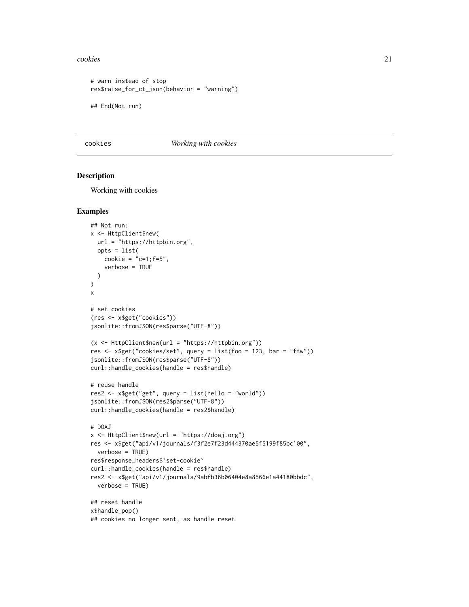#### <span id="page-20-0"></span>cookies 21

```
# warn instead of stop
res$raise_for_ct_json(behavior = "warning")
## End(Not run)
```
<span id="page-20-1"></span>cookies *Working with cookies*

#### Description

Working with cookies

#### Examples

```
## Not run:
x <- HttpClient$new(
 url = "https://httpbin.org",
 opts = list(
   cookie = "c=1; f=5",verbose = TRUE
  )
)
x
# set cookies
(res <- x$get("cookies"))
jsonlite::fromJSON(res$parse("UTF-8"))
(x <- HttpClient$new(url = "https://httpbin.org"))
res <- x$get("cookies/set", query = list(foo = 123, bar = "ftw"))
jsonlite::fromJSON(res$parse("UTF-8"))
curl::handle_cookies(handle = res$handle)
# reuse handle
res2 <- x$get("get", query = list(hello = "world"))
jsonlite::fromJSON(res2$parse("UTF-8"))
curl::handle_cookies(handle = res2$handle)
# DOAJ
x <- HttpClient$new(url = "https://doaj.org")
res <- x$get("api/v1/journals/f3f2e7f23d444370ae5f5199f85bc100",
  verbose = TRUE)
res$response_headers$`set-cookie`
curl::handle_cookies(handle = res$handle)
res2 <- x$get("api/v1/journals/9abfb36b06404e8a8566e1a44180bbdc",
  verbose = TRUE)
## reset handle
x$handle_pop()
## cookies no longer sent, as handle reset
```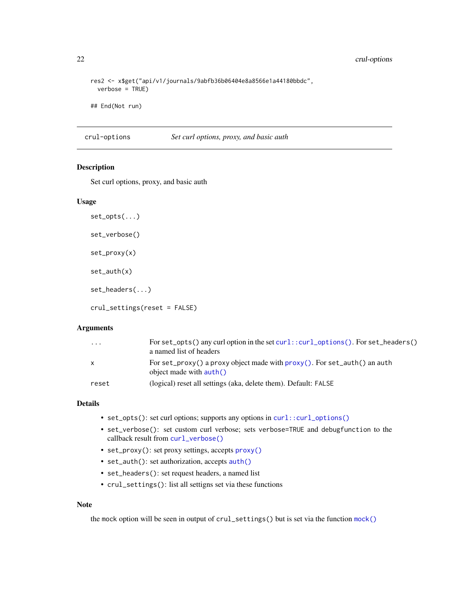```
res2 <- x$get("api/v1/journals/9abfb36b06404e8a8566e1a44180bbdc",
 verbose = TRUE)
```
## End(Not run)

crul-options *Set curl options, proxy, and basic auth*

# <span id="page-21-1"></span>Description

Set curl options, proxy, and basic auth

# Usage

```
set_opts(...)
set_verbose()
set_proxy(x)
set_auth(x)
set_headers(...)
```
crul\_settings(reset = FALSE)

# Arguments

| $\ddotsc$ | For set_opts() any curl option in the set curl::curl_options(). For set_headers()<br>a named list of headers    |
|-----------|-----------------------------------------------------------------------------------------------------------------|
| x         | For set_proxy() a proxy object made with $prox(y)$ . For set_auth() an auth<br>object made with $\text{auth}()$ |
| reset     | (logical) reset all settings (aka, delete them). Default: FALSE                                                 |

# Details

- set\_opts(): set curl options; supports any options in [curl::curl\\_options\(\)](#page-0-0)
- set\_verbose(): set custom curl verbose; sets verbose=TRUE and debugfunction to the callback result from [curl\\_verbose\(\)](#page-24-1)
- set\_proxy(): set proxy settings, accepts [proxy\(\)](#page-55-1)
- set\_auth(): set authorization, accepts [auth\(\)](#page-17-1)
- set\_headers(): set request headers, a named list
- crul\_settings(): list all settigns set via these functions

# Note

the mock option will be seen in output of crul\_settings() but is set via the function [mock\(\)](#page-46-1)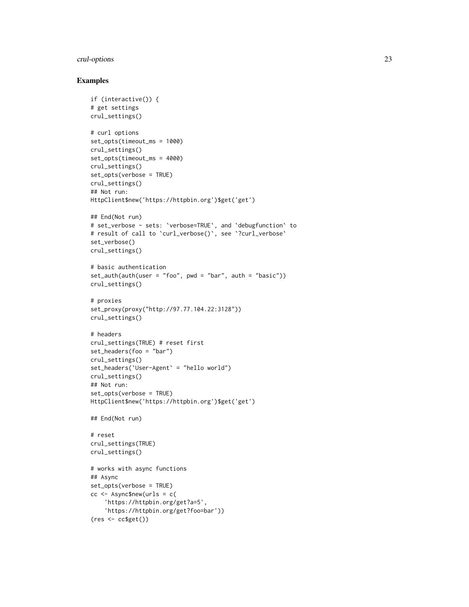# crul-options 23

# Examples

```
if (interactive()) {
# get settings
crul_settings()
# curl options
set_opts(timeout_ms = 1000)
crul_settings()
set_opts(timeout_ms = 4000)
crul_settings()
set_opts(verbose = TRUE)
crul_settings()
## Not run:
HttpClient$new('https://httpbin.org')$get('get')
## End(Not run)
# set_verbose - sets: `verbose=TRUE`, and `debugfunction` to
# result of call to `curl_verbose()`, see `?curl_verbose`
set_verbose()
crul_settings()
# basic authentication
set_author(author = "foo", pwd = "bar", auth = "basic")crul_settings()
# proxies
set_proxy(proxy("http://97.77.104.22:3128"))
crul_settings()
# headers
crul_settings(TRUE) # reset first
set_headers(foo = "bar")
crul_settings()
set_headers(`User-Agent` = "hello world")
crul_settings()
## Not run:
set_opts(verbose = TRUE)
HttpClient$new('https://httpbin.org')$get('get')
## End(Not run)
# reset
crul_settings(TRUE)
crul_settings()
# works with async functions
## Async
set_opts(verbose = TRUE)
cc <- Async$new(urls = c(
    'https://httpbin.org/get?a=5',
    'https://httpbin.org/get?foo=bar'))
(res <- cc$get())
```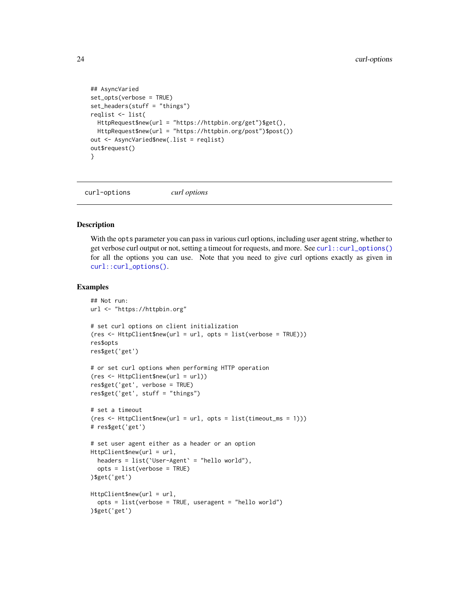```
## AsyncVaried
set_opts(verbose = TRUE)
set_headers(stuff = "things")
reqlist <- list(
 HttpRequest$new(url = "https://httpbin.org/get")$get(),
  HttpRequest$new(url = "https://httpbin.org/post")$post())
out <- AsyncVaried$new(.list = reqlist)
out$request()
}
```
curl-options *curl options*

#### **Description**

With the opts parameter you can pass in various curl options, including user agent string, whether to get verbose curl output or not, setting a timeout for requests, and more. See [curl::curl\\_options\(\)](#page-0-0) for all the options you can use. Note that you need to give curl options exactly as given in [curl::curl\\_options\(\)](#page-0-0).

#### Examples

```
## Not run:
url <- "https://httpbin.org"
# set curl options on client initialization
(res <- HttpClient$new(url = url, opts = list(verbose = TRUE)))
res$opts
res$get('get')
# or set curl options when performing HTTP operation
(res <- HttpClient$new(url = url))
res$get('get', verbose = TRUE)
res$get('get', stuff = "things")
# set a timeout
(res \leftarrow \text{HttpClient$new}(\text{url} = \text{url}, \text{opts} = list(timeout_m s = 1)))# res$get('get')
# set user agent either as a header or an option
HttpClient$new(url = url,
  headers = list(`User-Agent` = "hello world"),
  opts = list(verbose = TRUE)
)$get('get')
HttpClient$new(url = url,
  opts = list(verbose = TRUE, useragent = "hello world")
)$get('get')
```
<span id="page-23-0"></span>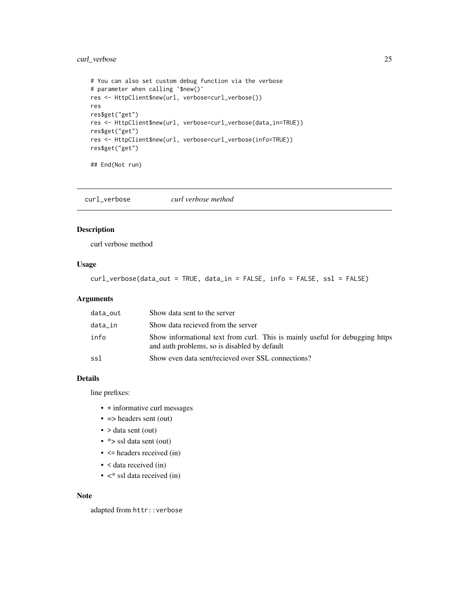# <span id="page-24-0"></span>curl\_verbose 25

```
# You can also set custom debug function via the verbose
# parameter when calling `$new()`
res <- HttpClient$new(url, verbose=curl_verbose())
res
res$get("get")
res <- HttpClient$new(url, verbose=curl_verbose(data_in=TRUE))
res$get("get")
res <- HttpClient$new(url, verbose=curl_verbose(info=TRUE))
res$get("get")
```
## End(Not run)

<span id="page-24-1"></span>curl\_verbose *curl verbose method*

# Description

curl verbose method

#### Usage

```
curl_verbose(data_out = TRUE, data_in = FALSE, info = FALSE, ssl = FALSE)
```
#### Arguments

| data_out | Show data sent to the server                                                                                                 |
|----------|------------------------------------------------------------------------------------------------------------------------------|
| data_in  | Show data recieved from the server                                                                                           |
| info     | Show informational text from curl. This is mainly useful for debugging https<br>and auth problems, so is disabled by default |
| ssl      | Show even data sent/recieved over SSL connections?                                                                           |

# Details

line prefixes:

- \* informative curl messages
- $\bullet$  => headers sent (out)
- > data sent (out)
- \* > ssl data sent (out)
- $\bullet$   $\leq$  headers received (in)
- < data received (in)
- $\lt^*$  ssl data received (in)

# Note

adapted from httr::verbose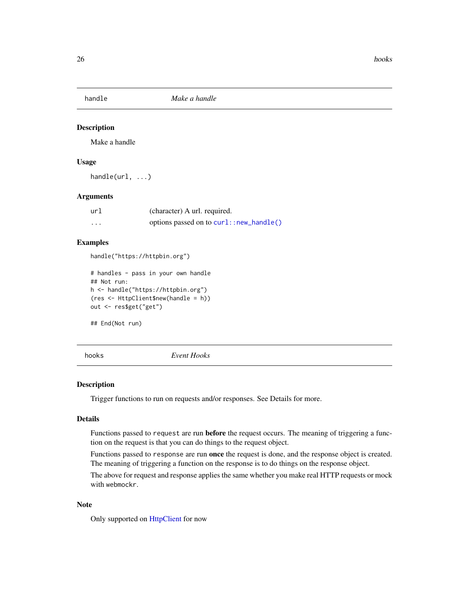<span id="page-25-1"></span><span id="page-25-0"></span>

# Description

Make a handle

# Usage

handle(url, ...)

# Arguments

| url      | (character) A url. required.            |
|----------|-----------------------------------------|
| $\cdots$ | options passed on to curl::new_handle() |

# Examples

handle("https://httpbin.org")

```
# handles - pass in your own handle
## Not run:
h <- handle("https://httpbin.org")
(res <- HttpClient$new(handle = h))
out <- res$get("get")
```
## End(Not run)

<span id="page-25-2"></span>hooks *Event Hooks*

#### Description

Trigger functions to run on requests and/or responses. See Details for more.

# Details

Functions passed to request are run **before** the request occurs. The meaning of triggering a function on the request is that you can do things to the request object.

Functions passed to response are run once the request is done, and the response object is created. The meaning of triggering a function on the response is to do things on the response object.

The above for request and response applies the same whether you make real HTTP requests or mock with webmockr.

#### Note

Only supported on [HttpClient](#page-27-1) for now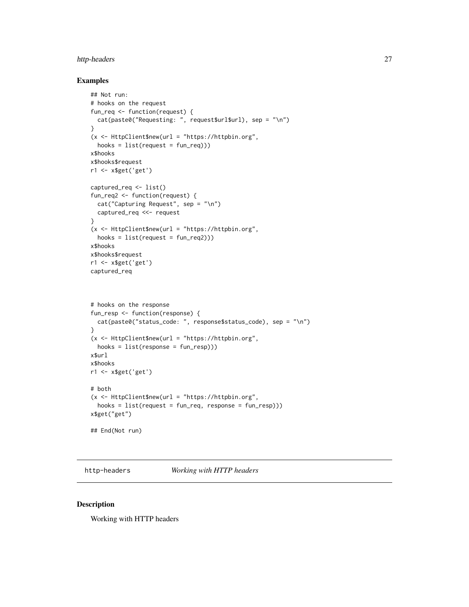# <span id="page-26-0"></span>http-headers 27

# Examples

```
## Not run:
# hooks on the request
fun_req <- function(request) {
  cat(paste0("Requesting: ", request$url$url), sep = "\n")
}
(x <- HttpClient$new(url = "https://httpbin.org",
  hooks = list(request = fun_reg)))x$hooks
x$hooks$request
r1 <- x$get('get')
captured_req <- list()
fun_req2 <- function(request) {
  cat("Capturing Request", sep = "\n")
  captured_req <<- request
}
(x <- HttpClient$new(url = "https://httpbin.org",
  hooks = list(request = fun_reg2))x$hooks
x$hooks$request
r1 <- x$get('get')
captured_req
# hooks on the response
fun_resp <- function(response) {
  cat(paste0("status_code: ", response$status_code), sep = "\n")
}
(x <- HttpClient$new(url = "https://httpbin.org",
  hooks = list(response = fun_resp)))
x$url
x$hooks
r1 <- x$get('get')
# both
(x <- HttpClient$new(url = "https://httpbin.org",
 hooks = list(request = fun_reg, response = fun_reg))x$get("get")
## End(Not run)
```
<span id="page-26-1"></span>http-headers *Working with HTTP headers*

#### Description

Working with HTTP headers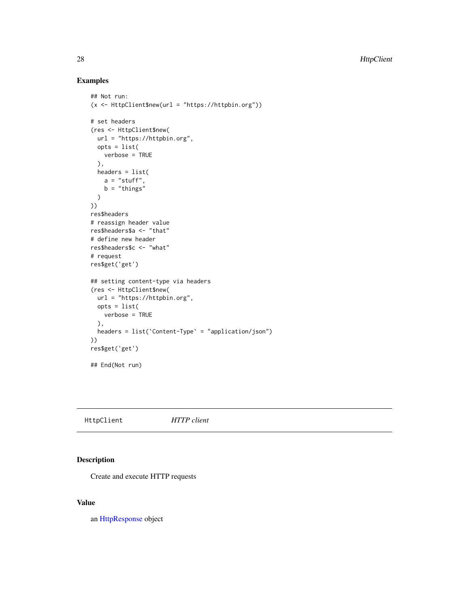# Examples

```
## Not run:
(x <- HttpClient$new(url = "https://httpbin.org"))
# set headers
(res <- HttpClient$new(
 url = "https://httpbin.org",
 opts = list(
   verbose = TRUE
  ),
 headers = list(
   a = "stuff",b = "things")
))
res$headers
# reassign header value
res$headers$a <- "that"
# define new header
res$headers$c <- "what"
# request
res$get('get')
## setting content-type via headers
(res <- HttpClient$new(
 url = "https://httpbin.org",
 opts = list(
   verbose = TRUE
  ),
  headers = list(`Content-Type` = "application/json")
))
res$get('get')
## End(Not run)
```
<span id="page-27-1"></span>HttpClient *HTTP client*

# Description

Create and execute HTTP requests

# Value

an [HttpResponse](#page-42-1) object

<span id="page-27-0"></span>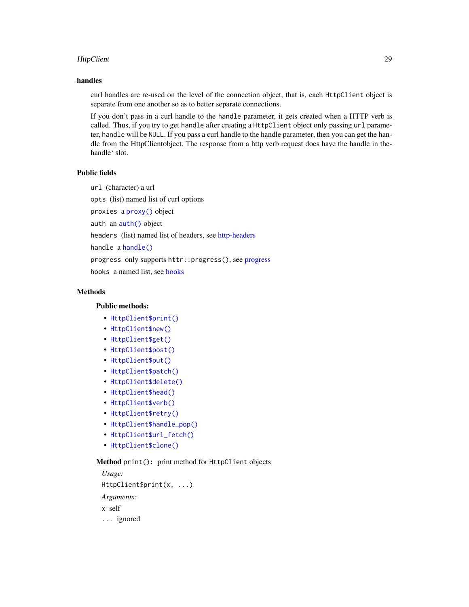#### <span id="page-28-0"></span>HttpClient 29

# handles

curl handles are re-used on the level of the connection object, that is, each HttpClient object is separate from one another so as to better separate connections.

If you don't pass in a curl handle to the handle parameter, it gets created when a HTTP verb is called. Thus, if you try to get handle after creating a HttpClient object only passing url parameter, handle will be NULL. If you pass a curl handle to the handle parameter, then you can get the handle from the HttpClientobject. The response from a http verb request does have the handle in thehandle' slot.

# Public fields

url (character) a url

opts (list) named list of curl options

proxies a [proxy\(\)](#page-55-1) object

auth an [auth\(\)](#page-17-1) object

headers (list) named list of headers, see [http-headers](#page-26-1)

handle a [handle\(\)](#page-25-1)

progress only supports httr::progress(), see [progress](#page-55-2)

hooks a named list, see [hooks](#page-25-2)

# **Methods**

#### Public methods:

- [HttpClient\\$print\(\)](#page-4-0)
- [HttpClient\\$new\(\)](#page-4-1)
- [HttpClient\\$get\(\)](#page-5-0)
- [HttpClient\\$post\(\)](#page-5-1)
- [HttpClient\\$put\(\)](#page-6-0)
- [HttpClient\\$patch\(\)](#page-6-1)
- [HttpClient\\$delete\(\)](#page-7-0)
- [HttpClient\\$head\(\)](#page-7-1)
- [HttpClient\\$verb\(\)](#page-7-2)
- [HttpClient\\$retry\(\)](#page-32-0)
- [HttpClient\\$handle\\_pop\(\)](#page-34-0)
- [HttpClient\\$url\\_fetch\(\)](#page-34-1)
- [HttpClient\\$clone\(\)](#page-8-0)

#### Method print(): print method for HttpClient objects

```
Usage:
HttpClient$print(x, ...)
Arguments:
x self
... ignored
```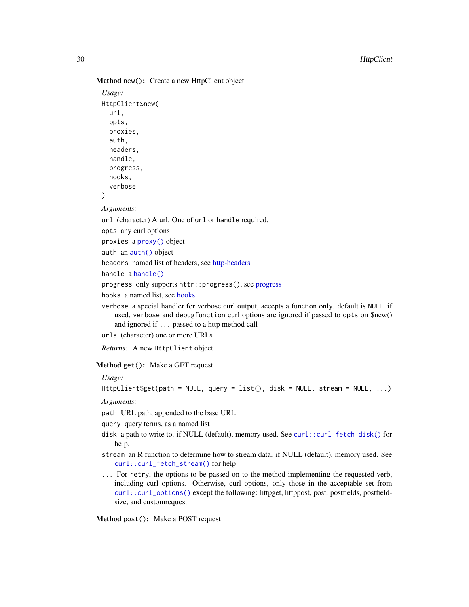<span id="page-29-0"></span>Method new(): Create a new HttpClient object

```
Usage:
HttpClient$new(
  url,
  opts,
 proxies,
  auth,
  headers,
 handle,
 progress,
 hooks,
  verbose
)
```
#### *Arguments:*

url (character) A url. One of url or handle required.

opts any curl options

proxies a [proxy\(\)](#page-55-1) object

auth an [auth\(\)](#page-17-1) object

headers named list of headers, see [http-headers](#page-26-1)

handle a [handle\(\)](#page-25-1)

[progress](#page-55-2) only supports httr:: progress(), see progress

hooks a named list, see [hooks](#page-25-2)

verbose a special handler for verbose curl output, accepts a function only. default is NULL. if used, verbose and debugfunction curl options are ignored if passed to opts on \$new() and ignored if ... passed to a http method call

urls (character) one or more URLs

*Returns:* A new HttpClient object

Method get(): Make a GET request

*Usage:*

HttpClient\$get(path = NULL, query = list(), disk = NULL, stream = NULL, ...)

*Arguments:*

path URL path, appended to the base URL

query query terms, as a named list

- disk a path to write to. if NULL (default), memory used. See [curl::curl\\_fetch\\_disk\(\)](#page-0-0) for help.
- stream an R function to determine how to stream data. if NULL (default), memory used. See [curl::curl\\_fetch\\_stream\(\)](#page-0-0) for help
- ... For retry, the options to be passed on to the method implementing the requested verb, including curl options. Otherwise, curl options, only those in the acceptable set from [curl::curl\\_options\(\)](#page-0-0) except the following: httpget, httppost, post, postfields, postfieldsize, and customrequest

Method post(): Make a POST request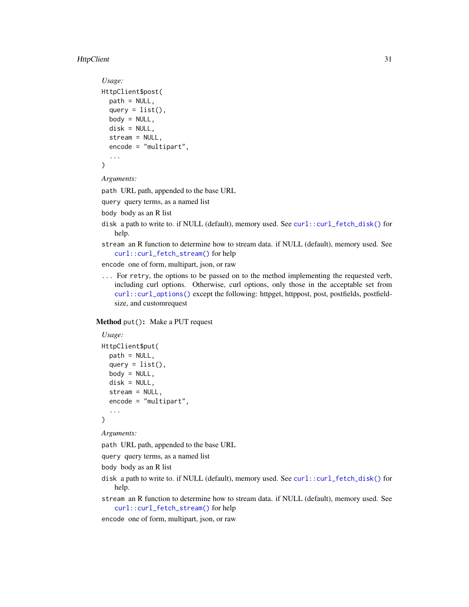#### HttpClient 31

```
Usage:
HttpClient$post(
  path = NULL,
  query = list(),
  body = NULL,disk = NULL,
  stream = NULL,
  encode = "multipart",
  ...
\mathcal{L}
```
*Arguments:*

path URL path, appended to the base URL

query query terms, as a named list

```
body body as an R list
```
- disk a path to write to. if NULL (default), memory used. See [curl::curl\\_fetch\\_disk\(\)](#page-0-0) for help.
- stream an R function to determine how to stream data. if NULL (default), memory used. See [curl::curl\\_fetch\\_stream\(\)](#page-0-0) for help

encode one of form, multipart, json, or raw

... For retry, the options to be passed on to the method implementing the requested verb, including curl options. Otherwise, curl options, only those in the acceptable set from [curl::curl\\_options\(\)](#page-0-0) except the following: httpget, httppost, post, postfields, postfieldsize, and customrequest

# Method put(): Make a PUT request

```
Usage:
HttpClient$put(
 path = NULL,
 query = list(),
 body = NULL,disk = NULL,
  stream = NULL,
 encode = "multipart",
  ...
\lambda
```
#### *Arguments:*

path URL path, appended to the base URL

query query terms, as a named list

body body as an R list

- disk a path to write to. if NULL (default), memory used. See [curl::curl\\_fetch\\_disk\(\)](#page-0-0) for help.
- stream an R function to determine how to stream data. if NULL (default), memory used. See [curl::curl\\_fetch\\_stream\(\)](#page-0-0) for help

encode one of form, multipart, json, or raw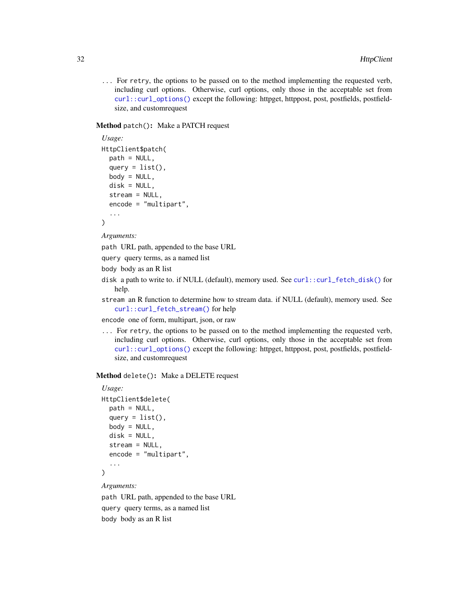... For retry, the options to be passed on to the method implementing the requested verb, including curl options. Otherwise, curl options, only those in the acceptable set from [curl::curl\\_options\(\)](#page-0-0) except the following: httpget, httppost, post, postfields, postfieldsize, and customrequest

# Method patch(): Make a PATCH request

```
Usage:
HttpClient$patch(
 path = NULL,
 query = list(),
 body = NULL,disk = NULL,stream = NULL,
 encode = "multipart",
  ...
\lambda
```
*Arguments:*

path URL path, appended to the base URL

query query terms, as a named list

body body as an R list

- disk a path to write to. if NULL (default), memory used. See [curl::curl\\_fetch\\_disk\(\)](#page-0-0) for help.
- stream an R function to determine how to stream data. if NULL (default), memory used. See [curl::curl\\_fetch\\_stream\(\)](#page-0-0) for help

encode one of form, multipart, json, or raw

... For retry, the options to be passed on to the method implementing the requested verb, including curl options. Otherwise, curl options, only those in the acceptable set from [curl::curl\\_options\(\)](#page-0-0) except the following: httpget, httppost, post, postfields, postfieldsize, and customrequest

### Method delete(): Make a DELETE request

```
Usage:
HttpClient$delete(
 path = NULL,
 query = list(),
 body = NULL,
 disk = NULL,
  stream = NULL,
 encode = "multipart",
  ...
)
```
*Arguments:*

path URL path, appended to the base URL query query terms, as a named list body body as an R list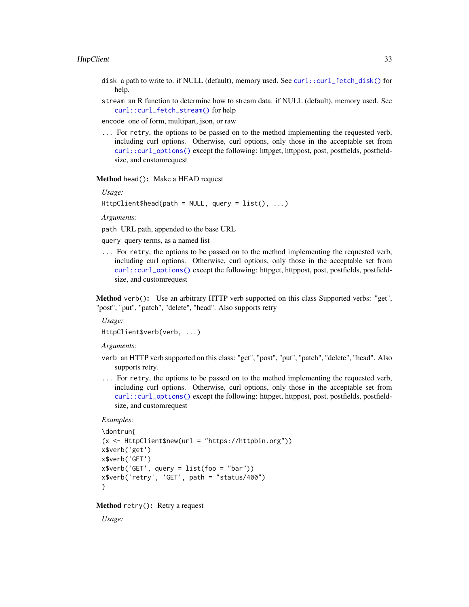- <span id="page-32-1"></span>disk a path to write to. if NULL (default), memory used. See [curl::curl\\_fetch\\_disk\(\)](#page-0-0) for help.
- stream an R function to determine how to stream data. if NULL (default), memory used. See [curl::curl\\_fetch\\_stream\(\)](#page-0-0) for help
- encode one of form, multipart, json, or raw
- ... For retry, the options to be passed on to the method implementing the requested verb, including curl options. Otherwise, curl options, only those in the acceptable set from [curl::curl\\_options\(\)](#page-0-0) except the following: httpget, httppost, post, postfields, postfieldsize, and customrequest

Method head(): Make a HEAD request

*Usage:*

```
HttpClient$head(path = NULL, query = list(), ...)
```
*Arguments:*

path URL path, appended to the base URL

query query terms, as a named list

... For retry, the options to be passed on to the method implementing the requested verb, including curl options. Otherwise, curl options, only those in the acceptable set from [curl::curl\\_options\(\)](#page-0-0) except the following: httpget, httppost, post, postfields, postfieldsize, and customrequest

Method verb(): Use an arbitrary HTTP verb supported on this class Supported verbs: "get", "post", "put", "patch", "delete", "head". Also supports retry

*Usage:*

HttpClient\$verb(verb, ...)

*Arguments:*

- verb an HTTP verb supported on this class: "get", "post", "put", "patch", "delete", "head". Also supports retry.
- ... For retry, the options to be passed on to the method implementing the requested verb, including curl options. Otherwise, curl options, only those in the acceptable set from [curl::curl\\_options\(\)](#page-0-0) except the following: httpget, httppost, post, postfields, postfieldsize, and customrequest

#### *Examples:*

```
\dontrun{
(x <- HttpClient$new(url = "https://httpbin.org"))
x$verb('get')
x$verb('GET')
x$verb('GET', query = list(foo = "bar"))
x$verb('retry', 'GET', path = "status/400")
}
```
<span id="page-32-0"></span>Method retry(): Retry a request

*Usage:*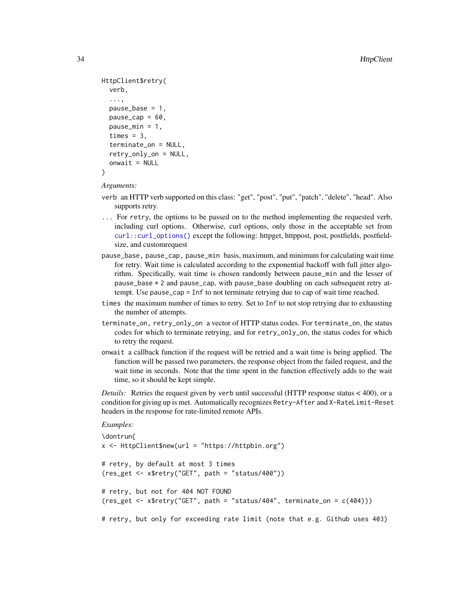```
HttpClient$retry(
  verb,
  ...,
  pause\_base = 1,
  pause\_cap = 60,
  pause_min = 1,
  times = 3,
  terminate_on = NULL,
  retry_only_on = NULL,
  onwait = NULL
\lambda
```
*Arguments:*

- verb an HTTP verb supported on this class: "get", "post", "put", "patch", "delete", "head". Also supports retry.
- ... For retry, the options to be passed on to the method implementing the requested verb, including curl options. Otherwise, curl options, only those in the acceptable set from [curl::curl\\_options\(\)](#page-0-0) except the following: httpget, httppost, post, postfields, postfieldsize, and customrequest
- pause\_base, pause\_cap, pause\_min basis, maximum, and minimum for calculating wait time for retry. Wait time is calculated according to the exponential backoff with full jitter algorithm. Specifically, wait time is chosen randomly between pause\_min and the lesser of pause\_base \* 2 and pause\_cap, with pause\_base doubling on each subsequent retry attempt. Use pause\_cap = Inf to not terminate retrying due to cap of wait time reached.
- times the maximum number of times to retry. Set to Inf to not stop retrying due to exhausting the number of attempts.
- terminate\_on, retry\_only\_on a vector of HTTP status codes. For terminate\_on, the status codes for which to terminate retrying, and for retry\_only\_on, the status codes for which to retry the request.
- onwait a callback function if the request will be retried and a wait time is being applied. The function will be passed two parameters, the response object from the failed request, and the wait time in seconds. Note that the time spent in the function effectively adds to the wait time, so it should be kept simple.

*Details:* Retries the request given by verb until successful (HTTP response status < 400), or a condition for giving up is met. Automatically recognizes Retry-After and X-RateLimit-Reset headers in the response for rate-limited remote APIs.

#### *Examples:*

```
\dontrun{
x <- HttpClient$new(url = "https://httpbin.org")
# retry, by default at most 3 times
(res_get <- x$retry("GET", path = "status/400"))
# retry, but not for 404 NOT FOUND
(res\_get < - x$metry("GET", path = "status/404", terminate\_on = c(404)))# retry, but only for exceeding rate limit (note that e.g. Github uses 403)
```
<span id="page-33-0"></span>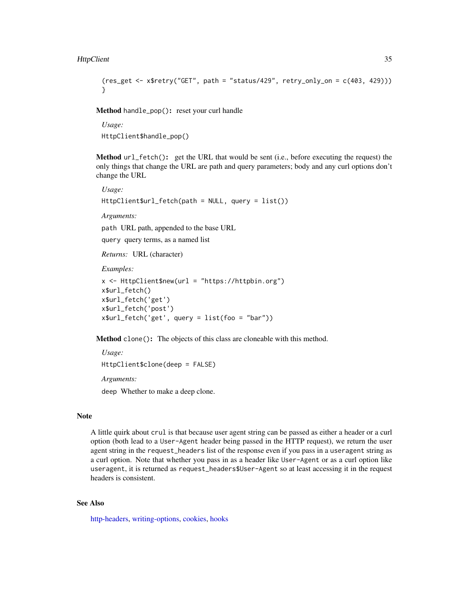```
(res_get < - x$retry("GET", path = "status/429", retry_only_on = c(403, 429))}
```
<span id="page-34-0"></span>Method handle\_pop(): reset your curl handle

*Usage:* HttpClient\$handle\_pop()

<span id="page-34-1"></span>Method url\_fetch(): get the URL that would be sent (i.e., before executing the request) the only things that change the URL are path and query parameters; body and any curl options don't change the URL

*Usage:* HttpClient\$url\_fetch(path = NULL, query = list()) *Arguments:*

path URL path, appended to the base URL

query query terms, as a named list

*Returns:* URL (character)

*Examples:*

```
x <- HttpClient$new(url = "https://httpbin.org")
x$url_fetch()
x$url_fetch('get')
x$url_fetch('post')
x$url_fetch('get', query = list(foo = "bar"))
```
Method clone(): The objects of this class are cloneable with this method.

*Usage:* HttpClient\$clone(deep = FALSE) *Arguments:* deep Whether to make a deep clone.

#### Note

A little quirk about crul is that because user agent string can be passed as either a header or a curl option (both lead to a User-Agent header being passed in the HTTP request), we return the user agent string in the request\_headers list of the response even if you pass in a useragent string as a curl option. Note that whether you pass in as a header like User-Agent or as a curl option like useragent, it is returned as request\_headers\$User-Agent so at least accessing it in the request headers is consistent.

# See Also

[http-headers,](#page-26-1) [writing-options,](#page-64-1) [cookies,](#page-20-1) [hooks](#page-25-2)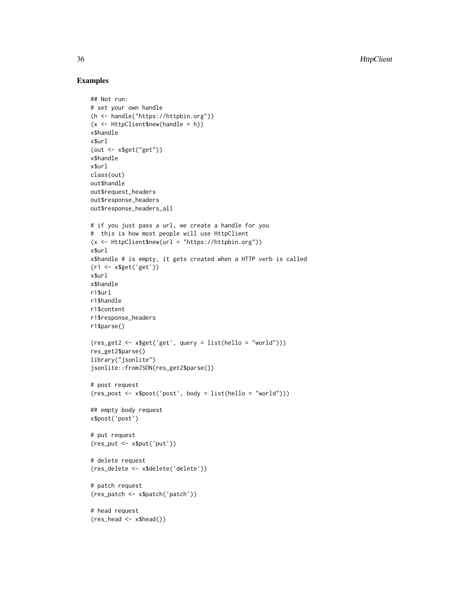# Examples

```
## Not run:
# set your own handle
(h <- handle("https://httpbin.org"))
(x <- HttpClient$new(handle = h))
x$handle
x$url
(out <- x$get("get"))
x$handle
x$url
class(out)
out$handle
out$request_headers
out$response_headers
out$response_headers_all
# if you just pass a url, we create a handle for you
# this is how most people will use HttpClient
(x <- HttpClient$new(url = "https://httpbin.org"))
x$url
x$handle # is empty, it gets created when a HTTP verb is called
(r1 <- x$get('get'))
x$url
x$handle
r1$url
r1$handle
r1$content
r1$response_headers
r1$parse()
(res_get2 <- x$get('get', query = list(hello = "world")))
res_get2$parse()
library("jsonlite")
jsonlite::fromJSON(res_get2$parse())
# post request
(res_post <- x$post('post', body = list(hello = "world")))
## empty body request
x$post('post')
# put request
(res_put <- x$put('put'))
# delete request
(res_delete <- x$delete('delete'))
# patch request
(res_patch <- x$patch('patch'))
# head request
(res_head <- x$head())
```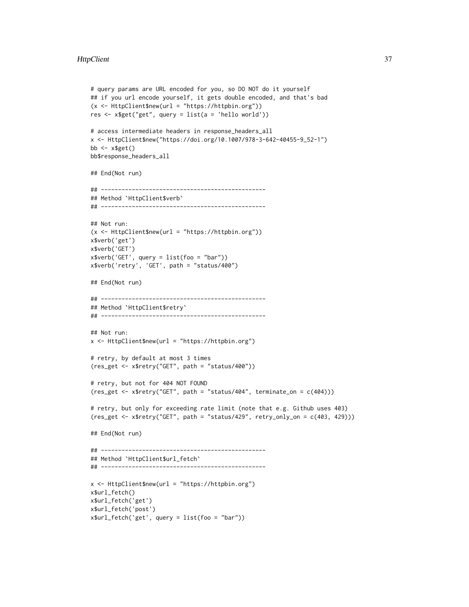#### **HttpClient** 37

```
# query params are URL encoded for you, so DO NOT do it yourself
## if you url encode yourself, it gets double encoded, and that's bad
(x <- HttpClient$new(url = "https://httpbin.org"))
res <- x$get("get", query = list(a = 'hello world'))
# access intermediate headers in response_headers_all
x <- HttpClient$new("https://doi.org/10.1007/978-3-642-40455-9_52-1")
bb \leq -x$get()
bb$response_headers_all
## End(Not run)
## ------------------------------------------------
## Method `HttpClient$verb`
## ------------------------------------------------
## Not run:
(x <- HttpClient$new(url = "https://httpbin.org"))
x$verb('get')
x$verb('GET')
x$verb('GET', query = list(foo = "bar"))
x$verb('retry', 'GET', path = "status/400")
## End(Not run)
## ------------------------------------------------
## Method `HttpClient$retry`
## ------------------------------------------------
## Not run:
x <- HttpClient$new(url = "https://httpbin.org")
# retry, by default at most 3 times
(res_get <- x$retry("GET", path = "status/400"))
# retry, but not for 404 NOT FOUND
(res_get <- x$retry("GET", path = "status/404", terminate_on = c(404)))
# retry, but only for exceeding rate limit (note that e.g. Github uses 403)
(res_get <- x$retry("GET", path = "status/429", retry_only_on = c(403, 429)))
## End(Not run)
## ------------------------------------------------
## Method `HttpClient$url_fetch`
## ------------------------------------------------
x <- HttpClient$new(url = "https://httpbin.org")
x$url_fetch()
x$url_fetch('get')
x$url_fetch('post')
x$url_fetch('get', query = list(foo = "bar"))
```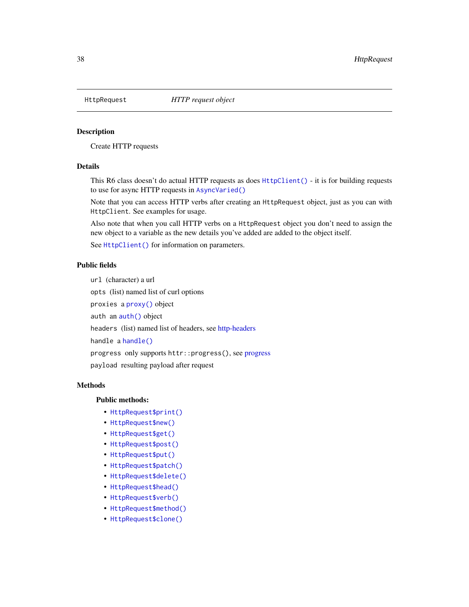<span id="page-37-1"></span><span id="page-37-0"></span>

# Description

Create HTTP requests

# Details

This R6 class doesn't do actual HTTP requests as does [HttpClient\(\)](#page-27-1) - it is for building requests to use for async HTTP requests in [AsyncVaried\(\)](#page-12-1)

Note that you can access HTTP verbs after creating an HttpRequest object, just as you can with HttpClient. See examples for usage.

Also note that when you call HTTP verbs on a HttpRequest object you don't need to assign the new object to a variable as the new details you've added are added to the object itself.

See [HttpClient\(\)](#page-27-1) for information on parameters.

# Public fields

url (character) a url

opts (list) named list of curl options

proxies a [proxy\(\)](#page-55-1) object

auth an [auth\(\)](#page-17-1) object

headers (list) named list of headers, see [http-headers](#page-26-1)

handle a [handle\(\)](#page-25-1)

progress only supports httr::progress(), see [progress](#page-55-2)

payload resulting payload after request

# **Methods**

# Public methods:

- [HttpRequest\\$print\(\)](#page-4-0)
- [HttpRequest\\$new\(\)](#page-4-1)
- [HttpRequest\\$get\(\)](#page-5-0)
- [HttpRequest\\$post\(\)](#page-5-1)
- [HttpRequest\\$put\(\)](#page-6-0)
- [HttpRequest\\$patch\(\)](#page-6-1)
- [HttpRequest\\$delete\(\)](#page-7-0)
- [HttpRequest\\$head\(\)](#page-7-1)
- [HttpRequest\\$verb\(\)](#page-7-2)
- [HttpRequest\\$method\(\)](#page-41-0)
- [HttpRequest\\$clone\(\)](#page-8-0)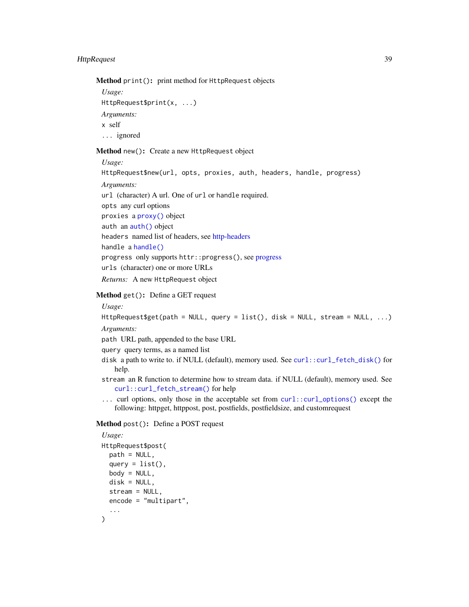# <span id="page-38-0"></span>HttpRequest 39

Method print(): print method for HttpRequest objects

```
Usage:
HttpRequest$print(x, ...)
Arguments:
x self
... ignored
```
Method new(): Create a new HttpRequest object

*Usage:* HttpRequest\$new(url, opts, proxies, auth, headers, handle, progress) *Arguments:* url (character) A url. One of url or handle required. opts any curl options proxies a [proxy\(\)](#page-55-1) object auth an [auth\(\)](#page-17-1) object headers named list of headers, see [http-headers](#page-26-1) handle a [handle\(\)](#page-25-1) progress only supports httr::progress(), see [progress](#page-55-2) urls (character) one or more URLs *Returns:* A new HttpRequest object

# Method get(): Define a GET request

# *Usage:*

HttpRequest\$get(path = NULL, query = list(), disk = NULL, stream = NULL, ...) *Arguments:*

path URL path, appended to the base URL

query query terms, as a named list

- disk a path to write to. if NULL (default), memory used. See [curl::curl\\_fetch\\_disk\(\)](#page-0-0) for help.
- stream an R function to determine how to stream data. if NULL (default), memory used. See [curl::curl\\_fetch\\_stream\(\)](#page-0-0) for help
- ... curl options, only those in the acceptable set from [curl::curl\\_options\(\)](#page-0-0) except the following: httpget, httppost, post, postfields, postfieldsize, and customrequest

# Method post(): Define a POST request

```
Usage:
HttpRequest$post(
 path = NULL,
 query = list(),
 body = NULL,disk = NULL,
 stream = NULL,
 encode = "multipart",
  ...
)
```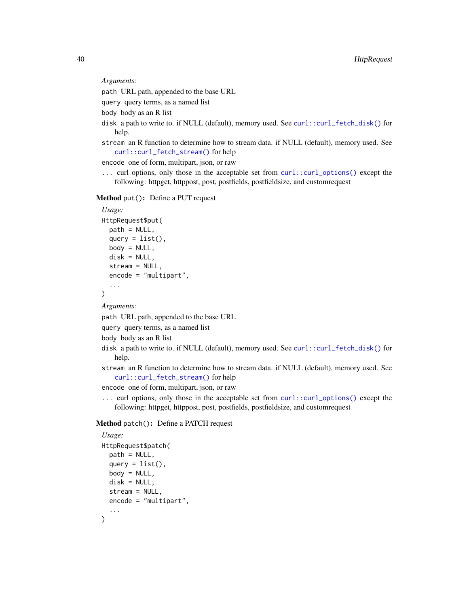*Arguments:*

path URL path, appended to the base URL

query query terms, as a named list

body body as an R list

- disk a path to write to. if NULL (default), memory used. See [curl::curl\\_fetch\\_disk\(\)](#page-0-0) for help.
- stream an R function to determine how to stream data. if NULL (default), memory used. See [curl::curl\\_fetch\\_stream\(\)](#page-0-0) for help

encode one of form, multipart, json, or raw

... curl options, only those in the acceptable set from [curl::curl\\_options\(\)](#page-0-0) except the following: httpget, httppost, post, postfields, postfieldsize, and customrequest

Method put(): Define a PUT request

```
Usage:
HttpRequest$put(
 path = NULL,
 query = list(),
 body = NULL,
 disk = NULL,
 stream = NULL,
 encode = "multipart",
  ...
\lambda
```
*Arguments:*

path URL path, appended to the base URL

query query terms, as a named list

body body as an R list

disk a path to write to. if NULL (default), memory used. See [curl::curl\\_fetch\\_disk\(\)](#page-0-0) for help.

stream an R function to determine how to stream data. if NULL (default), memory used. See [curl::curl\\_fetch\\_stream\(\)](#page-0-0) for help

encode one of form, multipart, json, or raw

... curl options, only those in the acceptable set from [curl::curl\\_options\(\)](#page-0-0) except the following: httpget, httppost, post, postfields, postfieldsize, and customrequest

# Method patch(): Define a PATCH request

```
Usage:
HttpRequest$patch(
 path = NULL,
 query = list(),
 body = NULL,
 disk = NULL,
 stream = NULL,
 encode = "multipart",
  ...
)
```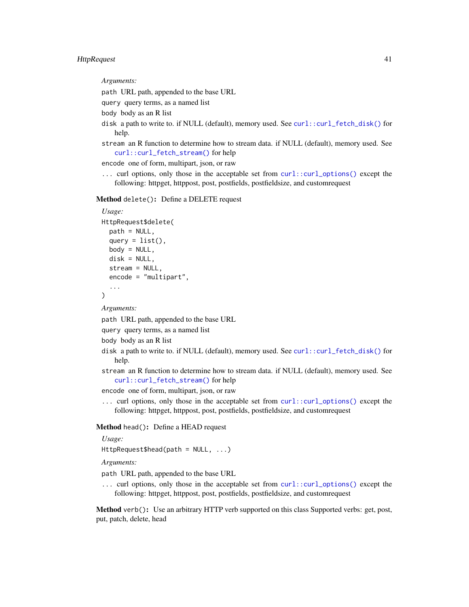# <span id="page-40-0"></span>HttpRequest 41

*Arguments:*

path URL path, appended to the base URL

query query terms, as a named list

body body as an R list

- disk a path to write to. if NULL (default), memory used. See [curl::curl\\_fetch\\_disk\(\)](#page-0-0) for help.
- stream an R function to determine how to stream data. if NULL (default), memory used. See [curl::curl\\_fetch\\_stream\(\)](#page-0-0) for help

encode one of form, multipart, json, or raw

... curl options, only those in the acceptable set from [curl::curl\\_options\(\)](#page-0-0) except the following: httpget, httppost, post, postfields, postfieldsize, and customrequest

Method delete(): Define a DELETE request

```
Usage:
HttpRequest$delete(
 path = NULL,
 query = list(),
 body = NULL,
 disk = NULL,
  stream = NULL,
  encode = "multipart",
  ...
)
```
*Arguments:*

path URL path, appended to the base URL

query query terms, as a named list

body body as an R list

- disk a path to write to. if NULL (default), memory used. See [curl::curl\\_fetch\\_disk\(\)](#page-0-0) for help.
- stream an R function to determine how to stream data. if NULL (default), memory used. See [curl::curl\\_fetch\\_stream\(\)](#page-0-0) for help

encode one of form, multipart, json, or raw

... curl options, only those in the acceptable set from [curl::curl\\_options\(\)](#page-0-0) except the following: httpget, httppost, post, postfields, postfieldsize, and customrequest

Method head(): Define a HEAD request

*Usage:*

HttpRequest\$head(path = NULL, ...)

*Arguments:*

path URL path, appended to the base URL

... curl options, only those in the acceptable set from [curl::curl\\_options\(\)](#page-0-0) except the following: httpget, httppost, post, postfields, postfieldsize, and customrequest

Method verb(): Use an arbitrary HTTP verb supported on this class Supported verbs: get, post, put, patch, delete, head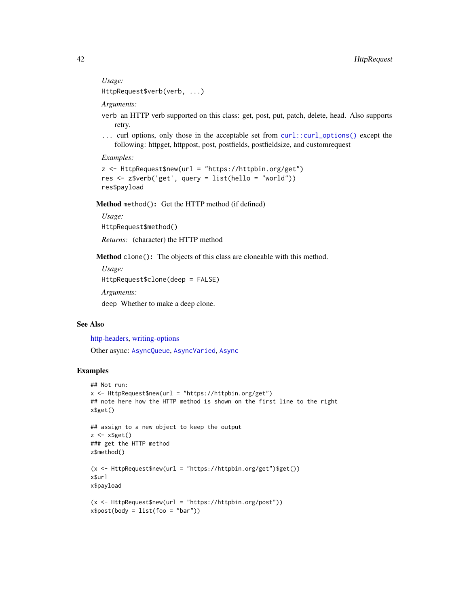*Usage:*

HttpRequest\$verb(verb, ...)

*Arguments:*

- verb an HTTP verb supported on this class: get, post, put, patch, delete, head. Also supports retry.
- ... curl options, only those in the acceptable set from [curl::curl\\_options\(\)](#page-0-0) except the following: httpget, httppost, post, postfields, postfieldsize, and customrequest

*Examples:*

```
z <- HttpRequest$new(url = "https://httpbin.org/get")
res <- z$verb('get', query = list(hello = "world"))
res$payload
```
<span id="page-41-0"></span>Method method(): Get the HTTP method (if defined)

*Usage:* HttpRequest\$method()

*Returns:* (character) the HTTP method

Method clone(): The objects of this class are cloneable with this method.

```
Usage:
HttpRequest$clone(deep = FALSE)
Arguments:
deep Whether to make a deep clone.
```
# See Also

[http-headers,](#page-26-1) [writing-options](#page-64-1)

Other async: [AsyncQueue](#page-10-1), [AsyncVaried](#page-12-1), [Async](#page-3-1)

# Examples

```
## Not run:
x <- HttpRequest$new(url = "https://httpbin.org/get")
## note here how the HTTP method is shown on the first line to the right
x$get()
## assign to a new object to keep the output
z \leftarrow x$get()
### get the HTTP method
z$method()
(x <- HttpRequest$new(url = "https://httpbin.org/get")$get())
x$url
x$payload
(x <- HttpRequest$new(url = "https://httpbin.org/post"))
x$post(body = list(foo = "bar")
```
<span id="page-41-1"></span>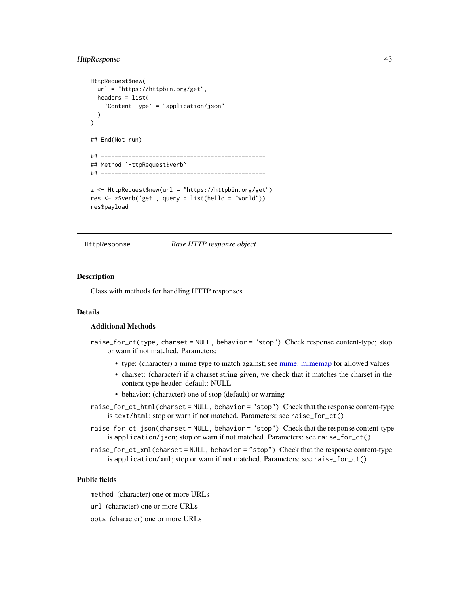# <span id="page-42-0"></span>HttpResponse 43

```
HttpRequest$new(
 url = "https://httpbin.org/get",
 headers = list(
    `Content-Type` = "application/json"
 )
)
## End(Not run)
## ------------------------------------------------
## Method `HttpRequest$verb`
## ------------------------------------------------
z <- HttpRequest$new(url = "https://httpbin.org/get")
res <- z$verb('get', query = list(hello = "world"))
res$payload
```
<span id="page-42-1"></span>

HttpResponse *Base HTTP response object*

#### Description

Class with methods for handling HTTP responses

# Details

# Additional Methods

- raise\_for\_ct(type, charset = NULL, behavior = "stop") Check response content-type; stop or warn if not matched. Parameters:
	- type: (character) a mime type to match against; see [mime::mimemap](#page-0-0) for allowed values
	- charset: (character) if a charset string given, we check that it matches the charset in the content type header. default: NULL
	- behavior: (character) one of stop (default) or warning
- raise\_for\_ct\_html(charset = NULL, behavior = "stop") Check that the response content-type is text/html; stop or warn if not matched. Parameters: see raise\_for\_ct()
- raise\_for\_ct\_json(charset = NULL, behavior = "stop") Check that the response content-type is application/json; stop or warn if not matched. Parameters: see raise\_for\_ct()
- raise\_for\_ct\_xml(charset = NULL, behavior = "stop") Check that the response content-type is application/xml; stop or warn if not matched. Parameters: see raise\_for\_ct()

# Public fields

method (character) one or more URLs

- url (character) one or more URLs
- opts (character) one or more URLs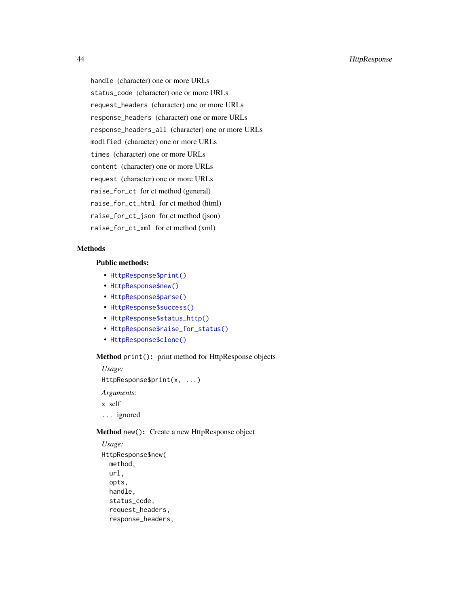handle (character) one or more URLs status\_code (character) one or more URLs request\_headers (character) one or more URLs response\_headers (character) one or more URLs response\_headers\_all (character) one or more URLs modified (character) one or more URLs times (character) one or more URLs content (character) one or more URLs request (character) one or more URLs raise\_for\_ct for ct method (general) raise\_for\_ct\_html for ct method (html) raise\_for\_ct\_json for ct method (json) raise\_for\_ct\_xml for ct method (xml)

# Methods

#### Public methods:

- [HttpResponse\\$print\(\)](#page-4-0)
- [HttpResponse\\$new\(\)](#page-4-1)
- [HttpResponse\\$parse\(\)](#page-14-1)
- [HttpResponse\\$success\(\)](#page-44-0)
- [HttpResponse\\$status\\_http\(\)](#page-44-1)
- [HttpResponse\\$raise\\_for\\_status\(\)](#page-44-2)
- [HttpResponse\\$clone\(\)](#page-8-0)

### Method print(): print method for HttpResponse objects

*Usage:* HttpResponse\$print(x, ...) *Arguments:* x self

... ignored

# Method new(): Create a new HttpResponse object

```
Usage:
HttpResponse$new(
 method,
 url,
 opts,
 handle,
  status_code,
  request_headers,
  response_headers,
```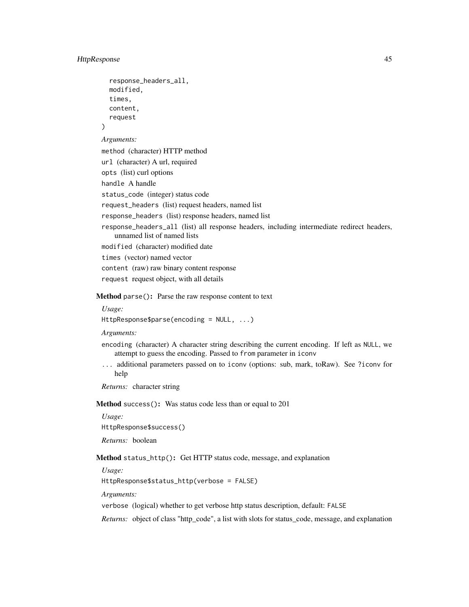)

```
response_headers_all,
modified,
times,
content,
request
```
*Arguments:*

method (character) HTTP method

```
url (character) A url, required
```
opts (list) curl options handle A handle

status\_code (integer) status code

request\_headers (list) request headers, named list

response\_headers (list) response headers, named list

response\_headers\_all (list) all response headers, including intermediate redirect headers, unnamed list of named lists modified (character) modified date

times (vector) named vector

content (raw) raw binary content response

request request object, with all details

Method parse(): Parse the raw response content to text

#### *Usage:*

HttpResponse\$parse(encoding = NULL, ...)

*Arguments:*

- encoding (character) A character string describing the current encoding. If left as NULL, we attempt to guess the encoding. Passed to from parameter in iconv
- ... additional parameters passed on to iconv (options: sub, mark, toRaw). See ?iconv for help

*Returns:* character string

<span id="page-44-0"></span>Method success(): Was status code less than or equal to 201

*Usage:* HttpResponse\$success() *Returns:* boolean

<span id="page-44-1"></span>Method status\_http(): Get HTTP status code, message, and explanation

*Usage:*

HttpResponse\$status\_http(verbose = FALSE)

*Arguments:*

verbose (logical) whether to get verbose http status description, default: FALSE

<span id="page-44-2"></span>*Returns:* object of class "http\_code", a list with slots for status\_code, message, and explanation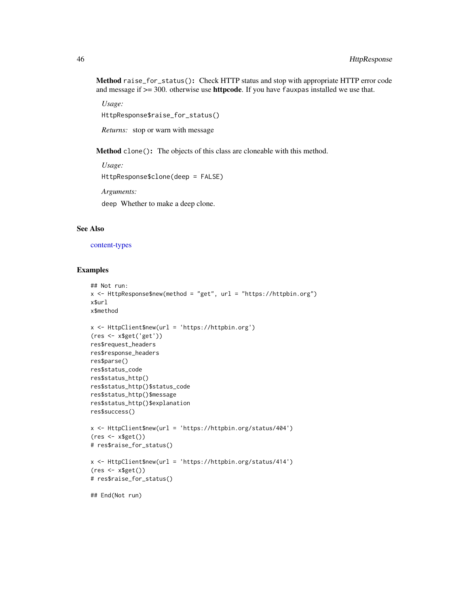<span id="page-45-0"></span>Method raise\_for\_status(): Check HTTP status and stop with appropriate HTTP error code and message if  $\geq$  300. otherwise use **httpcode**. If you have fauxpas installed we use that.

*Usage:* HttpResponse\$raise\_for\_status()

*Returns:* stop or warn with message

Method clone(): The objects of this class are cloneable with this method.

*Usage:* HttpResponse\$clone(deep = FALSE) *Arguments:* deep Whether to make a deep clone.

# See Also

[content-types](#page-18-1)

# Examples

```
## Not run:
x <- HttpResponse$new(method = "get", url = "https://httpbin.org")
x$url
x$method
x <- HttpClient$new(url = 'https://httpbin.org')
(res <- x$get('get'))
res$request_headers
res$response_headers
res$parse()
res$status_code
res$status_http()
res$status_http()$status_code
res$status_http()$message
res$status_http()$explanation
res$success()
x <- HttpClient$new(url = 'https://httpbin.org/status/404')
(res \leftarrow x\# res$raise_for_status()
x <- HttpClient$new(url = 'https://httpbin.org/status/414')
(res <- x$get())
# res$raise_for_status()
## End(Not run)
```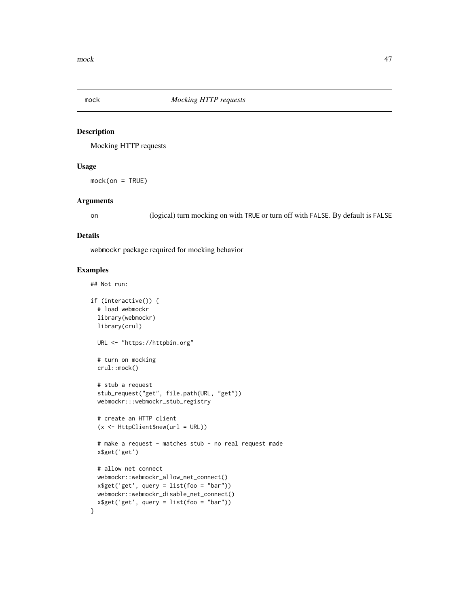<span id="page-46-1"></span><span id="page-46-0"></span>

# Description

Mocking HTTP requests

# Usage

mock(on = TRUE)

#### Arguments

on (logical) turn mocking on with TRUE or turn off with FALSE. By default is FALSE

#### Details

webmockr package required for mocking behavior

# Examples

## Not run:

```
if (interactive()) {
 # load webmockr
 library(webmockr)
 library(crul)
 URL <- "https://httpbin.org"
 # turn on mocking
 crul::mock()
 # stub a request
 stub_request("get", file.path(URL, "get"))
 webmockr:::webmockr_stub_registry
 # create an HTTP client
 (x <- HttpClient$new(url = URL))
 # make a request - matches stub - no real request made
 x$get('get')
 # allow net connect
 webmockr::webmockr_allow_net_connect()
 x$get('get', query = list(foo = "bar"))
 webmockr::webmockr_disable_net_connect()
 x$get('get', query = list(foo = "bar"))
}
```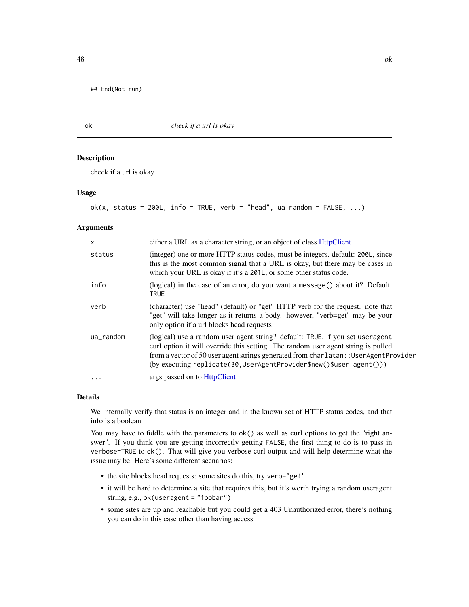<span id="page-47-0"></span>## End(Not run)

ok *check if a url is okay*

#### Description

check if a url is okay

# Usage

```
ok(x, status = 200L, info = TRUE, verb = "head", ua_random = FALSE, ...)
```
# Arguments

| $\mathsf{x}$ | either a URL as a character string, or an object of class HttpClient                                                                                                                                                                                                                                                                |
|--------------|-------------------------------------------------------------------------------------------------------------------------------------------------------------------------------------------------------------------------------------------------------------------------------------------------------------------------------------|
| status       | (integer) one or more HTTP status codes, must be integers. default: 200L, since<br>this is the most common signal that a URL is okay, but there may be cases in<br>which your URL is okay if it's a 201L, or some other status code.                                                                                                |
| info         | (logical) in the case of an error, do you want a message () about it? Default:<br><b>TRUE</b>                                                                                                                                                                                                                                       |
| verb         | (character) use "head" (default) or "get" HTTP verb for the request. note that<br>"get" will take longer as it returns a body. however, "verb=get" may be your<br>only option if a url blocks head requests                                                                                                                         |
| ua_random    | (logical) use a random user agent string? default: TRUE, if you set user agent<br>curl option it will override this setting. The random user agent string is pulled<br>from a vector of 50 user agent strings generated from charlatan: : UserAgentProvider<br>$(by executing replicate(30, UserAgentProvider$new()$user\_agent())$ |
| $\ddotsc$    | args passed on to HttpClient                                                                                                                                                                                                                                                                                                        |

# Details

We internally verify that status is an integer and in the known set of HTTP status codes, and that info is a boolean

You may have to fiddle with the parameters to  $ok()$  as well as curl options to get the "right answer". If you think you are getting incorrectly getting FALSE, the first thing to do is to pass in verbose=TRUE to ok(). That will give you verbose curl output and will help determine what the issue may be. Here's some different scenarios:

- the site blocks head requests: some sites do this, try verb="get"
- it will be hard to determine a site that requires this, but it's worth trying a random useragent string, e.g., ok(useragent = "foobar")
- some sites are up and reachable but you could get a 403 Unauthorized error, there's nothing you can do in this case other than having access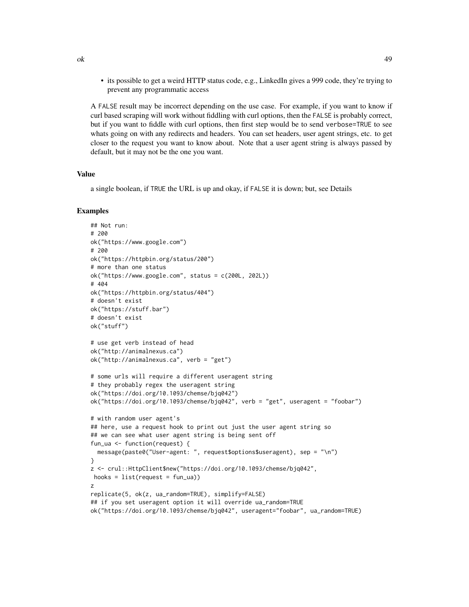• its possible to get a weird HTTP status code, e.g., LinkedIn gives a 999 code, they're trying to prevent any programmatic access

A FALSE result may be incorrect depending on the use case. For example, if you want to know if curl based scraping will work without fiddling with curl options, then the FALSE is probably correct, but if you want to fiddle with curl options, then first step would be to send verbose=TRUE to see whats going on with any redirects and headers. You can set headers, user agent strings, etc. to get closer to the request you want to know about. Note that a user agent string is always passed by default, but it may not be the one you want.

#### Value

a single boolean, if TRUE the URL is up and okay, if FALSE it is down; but, see Details

#### Examples

```
## Not run:
# 200
ok("https://www.google.com")
# 200
ok("https://httpbin.org/status/200")
# more than one status
ok("https://www.google.com", status = c(200L, 202L))
# 404
ok("https://httpbin.org/status/404")
# doesn't exist
ok("https://stuff.bar")
# doesn't exist
ok("stuff")
# use get verb instead of head
ok("http://animalnexus.ca")
ok("http://animalnexus.ca", verb = "get")
# some urls will require a different useragent string
# they probably regex the useragent string
ok("https://doi.org/10.1093/chemse/bjq042")
ok("https://doi.org/10.1093/chemse/bjq042", verb = "get", useragent = "foobar")
# with random user agent's
## here, use a request hook to print out just the user agent string so
## we can see what user agent string is being sent off
fun_ua <- function(request) {
  message(paste0("User-agent: ", request$options$useragent), sep = "\n")
}
z <- crul::HttpClient$new("https://doi.org/10.1093/chemse/bjq042",
hooks = list(request = fun_ua))z
replicate(5, ok(z, ua_random=TRUE), simplify=FALSE)
## if you set useragent option it will override ua_random=TRUE
ok("https://doi.org/10.1093/chemse/bjq042", useragent="foobar", ua_random=TRUE)
```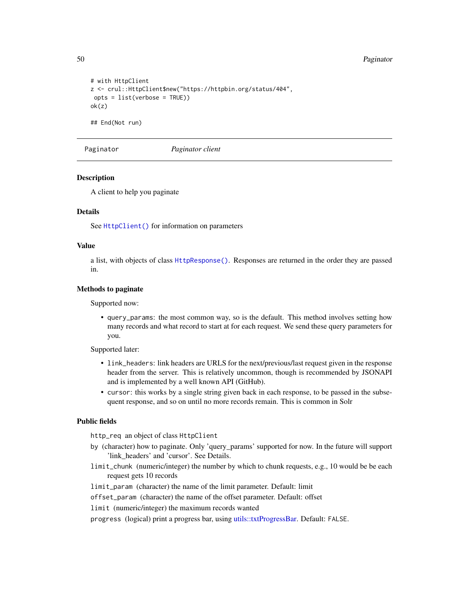```
# with HttpClient
z <- crul::HttpClient$new("https://httpbin.org/status/404",
opts = list(verbose = TRUE))
ok(z)
## End(Not run)
```
<span id="page-49-1"></span>Paginator *Paginator client*

#### Description

A client to help you paginate

#### Details

See [HttpClient\(\)](#page-27-1) for information on parameters

# Value

a list, with objects of class [HttpResponse\(\)](#page-42-1). Responses are returned in the order they are passed in.

#### Methods to paginate

Supported now:

• query\_params: the most common way, so is the default. This method involves setting how many records and what record to start at for each request. We send these query parameters for you.

Supported later:

- link\_headers: link headers are URLS for the next/previous/last request given in the response header from the server. This is relatively uncommon, though is recommended by JSONAPI and is implemented by a well known API (GitHub).
- cursor: this works by a single string given back in each response, to be passed in the subsequent response, and so on until no more records remain. This is common in Solr

# Public fields

http\_req an object of class HttpClient

- by (character) how to paginate. Only 'query\_params' supported for now. In the future will support 'link\_headers' and 'cursor'. See Details.
- limit\_chunk (numeric/integer) the number by which to chunk requests, e.g., 10 would be be each request gets 10 records

limit\_param (character) the name of the limit parameter. Default: limit

offset\_param (character) the name of the offset parameter. Default: offset

limit (numeric/integer) the maximum records wanted

progress (logical) print a progress bar, using [utils::txtProgressBar.](#page-0-0) Default: FALSE.

<span id="page-49-0"></span>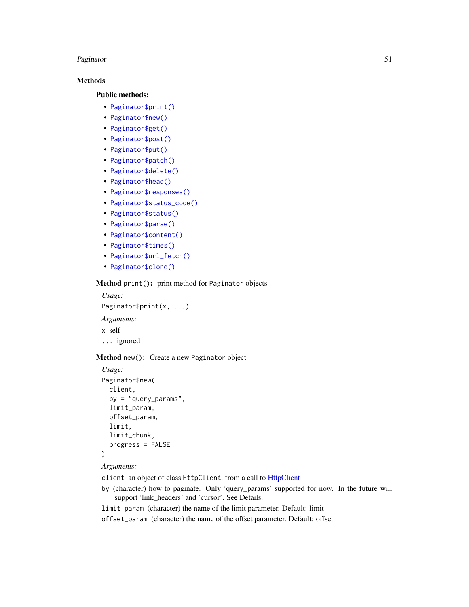#### <span id="page-50-0"></span>Paginator 51

# Methods

#### Public methods:

- [Paginator\\$print\(\)](#page-4-0)
- [Paginator\\$new\(\)](#page-4-1)
- [Paginator\\$get\(\)](#page-5-0)
- [Paginator\\$post\(\)](#page-5-1)
- [Paginator\\$put\(\)](#page-6-0)
- [Paginator\\$patch\(\)](#page-6-1)
- [Paginator\\$delete\(\)](#page-7-0)
- [Paginator\\$head\(\)](#page-7-1)
- [Paginator\\$responses\(\)](#page-11-1)
- [Paginator\\$status\\_code\(\)](#page-14-2)
- [Paginator\\$status\(\)](#page-14-3)
- [Paginator\\$parse\(\)](#page-14-1)
- [Paginator\\$content\(\)](#page-15-0)
- [Paginator\\$times\(\)](#page-15-1)
- [Paginator\\$url\\_fetch\(\)](#page-34-1)
- [Paginator\\$clone\(\)](#page-8-0)

# Method print(): print method for Paginator objects

*Usage:* Paginator\$print(x, ...) *Arguments:* x self ... ignored

#### Method new(): Create a new Paginator object

```
Usage:
Paginator$new(
 client,
 by = "query_params",
  limit_param,
 offset_param,
 limit,
 limit_chunk,
 progress = FALSE
)
```

```
Arguments:
```
- client an object of class HttpClient, from a call to [HttpClient](#page-27-1)
- by (character) how to paginate. Only 'query\_params' supported for now. In the future will support 'link\_headers' and 'cursor'. See Details.
- limit\_param (character) the name of the limit parameter. Default: limit
- offset\_param (character) the name of the offset parameter. Default: offset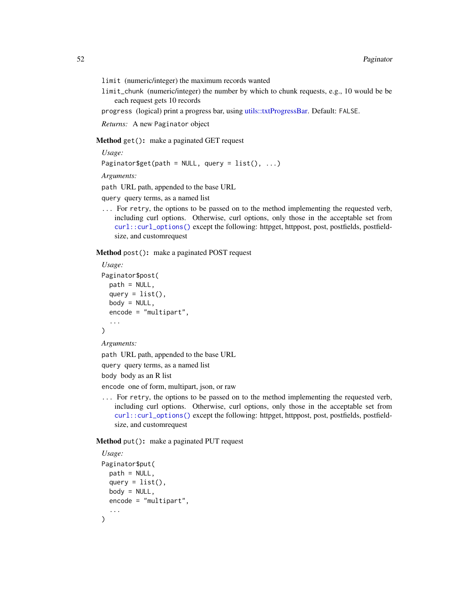- <span id="page-51-0"></span>limit (numeric/integer) the maximum records wanted
- limit\_chunk (numeric/integer) the number by which to chunk requests, e.g., 10 would be be each request gets 10 records

progress (logical) print a progress bar, using [utils::txtProgressBar.](#page-0-0) Default: FALSE.

*Returns:* A new Paginator object

Method get(): make a paginated GET request

*Usage:*

```
Paginator$get(path = NULL, query = list(), ...)
```
*Arguments:*

path URL path, appended to the base URL

query query terms, as a named list

... For retry, the options to be passed on to the method implementing the requested verb, including curl options. Otherwise, curl options, only those in the acceptable set from [curl::curl\\_options\(\)](#page-0-0) except the following: httpget, httppost, post, postfields, postfieldsize, and customrequest

Method post(): make a paginated POST request

```
Usage:
Paginator$post(
 path = NULL,
 query = list(),
 body = NULL,encode = "multipart",
  ...
)
```
*Arguments:*

path URL path, appended to the base URL

query query terms, as a named list

body body as an R list

encode one of form, multipart, json, or raw

... For retry, the options to be passed on to the method implementing the requested verb, including curl options. Otherwise, curl options, only those in the acceptable set from [curl::curl\\_options\(\)](#page-0-0) except the following: httpget, httppost, post, postfields, postfieldsize, and customrequest

Method put(): make a paginated PUT request

```
Usage:
Paginator$put(
 path = NULL,
 query = list(),
 body = NULL,
 encode = "multipart",
)
```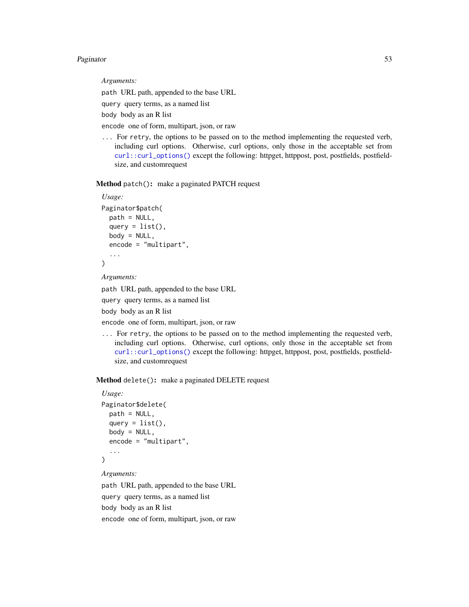#### Paginator 53

*Arguments:*

path URL path, appended to the base URL

query query terms, as a named list

body body as an R list

encode one of form, multipart, json, or raw

... For retry, the options to be passed on to the method implementing the requested verb, including curl options. Otherwise, curl options, only those in the acceptable set from [curl::curl\\_options\(\)](#page-0-0) except the following: httpget, httppost, post, postfields, postfieldsize, and customrequest

Method patch(): make a paginated PATCH request

```
Usage:
Paginator$patch(
 path = NULL,
  query = list(),
 body = NULL,encode = "multipart",
  ...
)
```
*Arguments:*

path URL path, appended to the base URL

query query terms, as a named list

body body as an R list

encode one of form, multipart, json, or raw

... For retry, the options to be passed on to the method implementing the requested verb, including curl options. Otherwise, curl options, only those in the acceptable set from [curl::curl\\_options\(\)](#page-0-0) except the following: httpget, httppost, post, postfields, postfieldsize, and customrequest

Method delete(): make a paginated DELETE request

```
Usage:
Paginator$delete(
 path = NULL,
 query = list(),
 body = NULL,encode = "multipart",
  ...
)
```
*Arguments:*

path URL path, appended to the base URL query query terms, as a named list body body as an R list encode one of form, multipart, json, or raw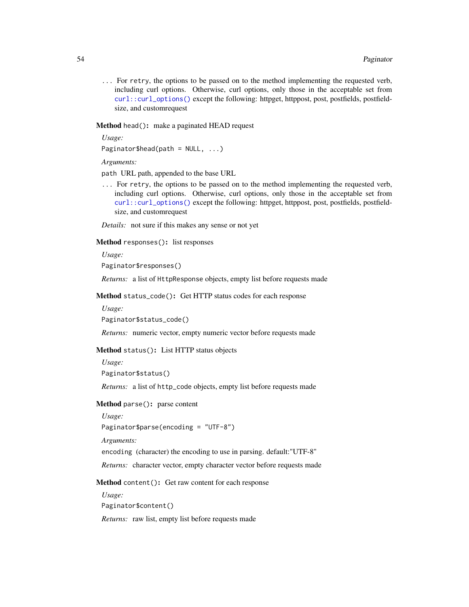<span id="page-53-0"></span>... For retry, the options to be passed on to the method implementing the requested verb, including curl options. Otherwise, curl options, only those in the acceptable set from [curl::curl\\_options\(\)](#page-0-0) except the following: httpget, httppost, post, postfields, postfieldsize, and customrequest

#### Method head(): make a paginated HEAD request

*Usage:*

Paginator\$head(path =  $NULL, ...)$ 

*Arguments:*

path URL path, appended to the base URL

... For retry, the options to be passed on to the method implementing the requested verb, including curl options. Otherwise, curl options, only those in the acceptable set from [curl::curl\\_options\(\)](#page-0-0) except the following: httpget, httppost, post, postfields, postfieldsize, and customrequest

*Details:* not sure if this makes any sense or not yet

# Method responses(): list responses

*Usage:*

Paginator\$responses()

*Returns:* a list of HttpResponse objects, empty list before requests made

Method status\_code(): Get HTTP status codes for each response

*Usage:*

Paginator\$status\_code()

*Returns:* numeric vector, empty numeric vector before requests made

#### Method status(): List HTTP status objects

*Usage:*

Paginator\$status()

*Returns:* a list of http\_code objects, empty list before requests made

#### Method parse(): parse content

*Usage:*

Paginator\$parse(encoding = "UTF-8")

*Arguments:*

encoding (character) the encoding to use in parsing. default:"UTF-8"

*Returns:* character vector, empty character vector before requests made

Method content(): Get raw content for each response

*Usage:*

Paginator\$content()

*Returns:* raw list, empty list before requests made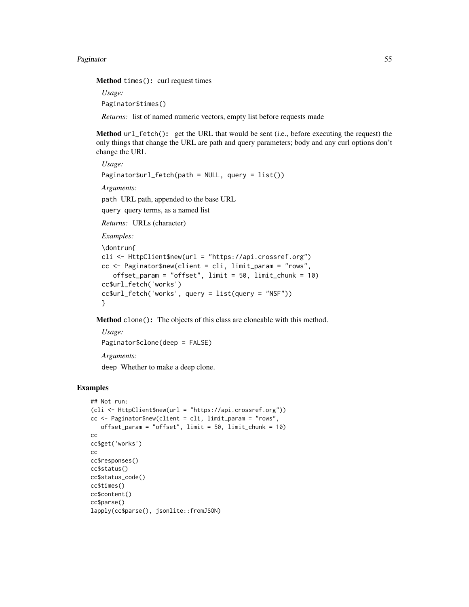#### Paginator 55

Method times(): curl request times

*Usage:*

Paginator\$times()

*Returns:* list of named numeric vectors, empty list before requests made

Method url\_fetch(): get the URL that would be sent (i.e., before executing the request) the only things that change the URL are path and query parameters; body and any curl options don't change the URL

*Usage:* Paginator\$url\_fetch(path = NULL, query = list()) *Arguments:* path URL path, appended to the base URL query query terms, as a named list *Returns:* URLs (character) *Examples:*

```
\dontrun{
cli <- HttpClient$new(url = "https://api.crossref.org")
cc <- Paginator$new(client = cli, limit_param = "rows",
   offset_param = "offset", limit = 50, limit_chunk = 10)
cc$url_fetch('works')
cc$url_fetch('works', query = list(query = "NSF"))
}
```
Method clone(): The objects of this class are cloneable with this method.

*Usage:* Paginator\$clone(deep = FALSE) *Arguments:* deep Whether to make a deep clone.

# Examples

```
## Not run:
(cli <- HttpClient$new(url = "https://api.crossref.org"))
cc <- Paginator$new(client = cli, limit_param = "rows",
   offset_param = "offset", limit = 50, limit_chunk = 10)
cc
cc$get('works')
cc
cc$responses()
cc$status()
cc$status_code()
cc$times()
cc$content()
cc$parse()
lapply(cc$parse(), jsonlite::fromJSON)
```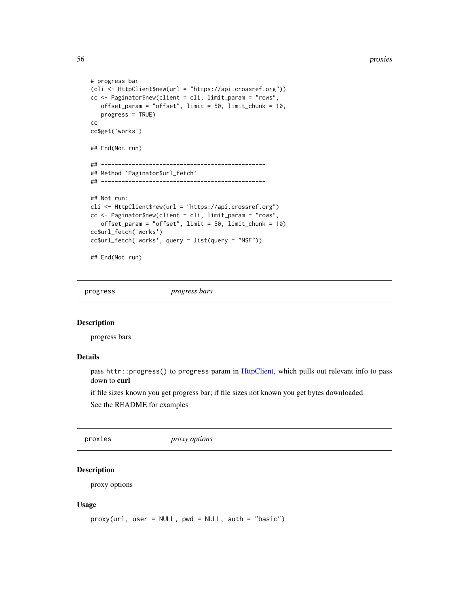<span id="page-55-0"></span>56 proxies

```
# progress bar
(cli <- HttpClient$new(url = "https://api.crossref.org"))
cc <- Paginator$new(client = cli, limit_param = "rows",
  offset\_param = "offset", limit = 50, limit\_chunk = 10,progress = TRUE)
cc
cc$get('works')
## End(Not run)
## ------------------------------------------------
## Method `Paginator$url_fetch`
## ------------------------------------------------
## Not run:
cli <- HttpClient$new(url = "https://api.crossref.org")
cc <- Paginator$new(client = cli, limit_param = "rows",
   offset_param = "offset", limit = 50, limit_chunk = 10)
cc$url_fetch('works')
cc$url_fetch('works', query = list(query = "NSF"))
## End(Not run)
```
<span id="page-55-2"></span>progress *progress bars*

#### Description

progress bars

# Details

pass httr::progress() to progress param in [HttpClient,](#page-27-1) which pulls out relevant info to pass down to curl

if file sizes known you get progress bar; if file sizes not known you get bytes downloaded See the README for examples

proxies *proxy options*

# <span id="page-55-1"></span>Description

proxy options

#### Usage

```
proxy(url, user = NULL, pwd = NULL, auth = "basic")
```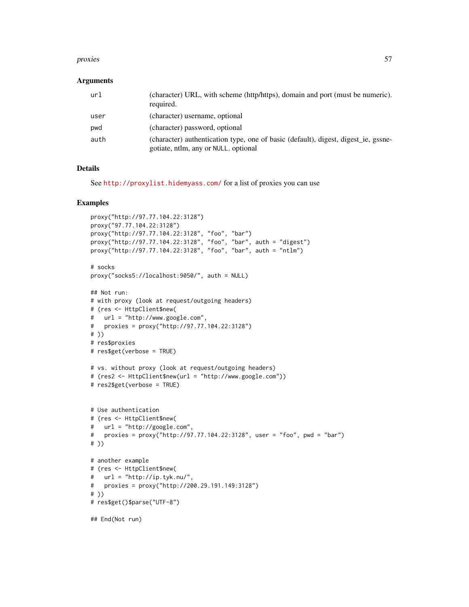#### proxies 57

#### **Arguments**

| url  | (character) URL, with scheme (http/https), domain and port (must be numeric).<br>required.                                 |
|------|----------------------------------------------------------------------------------------------------------------------------|
| user | (character) username, optional                                                                                             |
| pwd  | (character) password, optional                                                                                             |
| auth | (character) authentication type, one of basic (default), digest, digest ie, gssne-<br>gotiate, ntlm, any or NULL, optional |

# Details

See <http://proxylist.hidemyass.com/> for a list of proxies you can use

# Examples

```
proxy("http://97.77.104.22:3128")
proxy("97.77.104.22:3128")
proxy("http://97.77.104.22:3128", "foo", "bar")
proxy("http://97.77.104.22:3128", "foo", "bar", auth = "digest")
proxy("http://97.77.104.22:3128", "foo", "bar", auth = "ntlm")
# socks
proxy("socks5://localhost:9050/", auth = NULL)
## Not run:
# with proxy (look at request/outgoing headers)
# (res <- HttpClient$new(
# url = "http://www.google.com",
# proxies = proxy("http://97.77.104.22:3128")
# ))
# res$proxies
# res$get(verbose = TRUE)
# vs. without proxy (look at request/outgoing headers)
# (res2 <- HttpClient$new(url = "http://www.google.com"))
# res2$get(verbose = TRUE)
# Use authentication
# (res <- HttpClient$new(
# url = "http://google.com",
# proxies = proxy("http://97.77.104.22:3128", user = "foo", pwd = "bar")
# ))
# another example
# (res <- HttpClient$new(
# url = "http://ip.tyk.nu/",
# proxies = proxy("http://200.29.191.149:3128")
# ))
# res$get()$parse("UTF-8")
## End(Not run)
```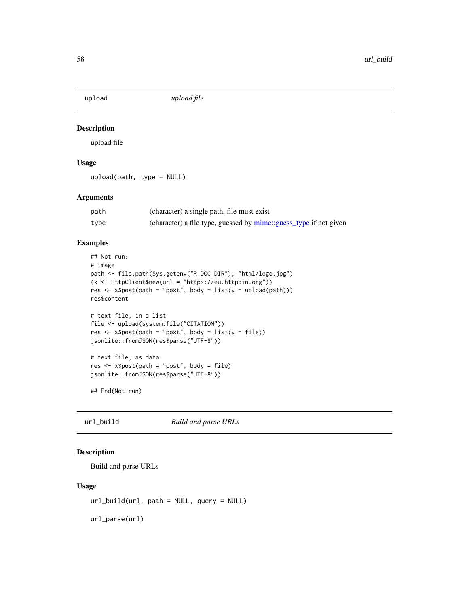<span id="page-57-1"></span><span id="page-57-0"></span>

# Description

upload file

# Usage

upload(path, type = NULL)

#### Arguments

| path | (character) a single path, file must exist                        |
|------|-------------------------------------------------------------------|
| type | (character) a file type, guessed by mime::guess_type if not given |

# Examples

```
## Not run:
# image
path <- file.path(Sys.getenv("R_DOC_DIR"), "html/logo.jpg")
(x \leq HttpClient$new(url = "https://eu.htmlptin.org"))res \leq x$post(path = "post", body = list(y = upload(path)))
res$content
# text file, in a list
file <- upload(system.file("CITATION"))
res <- x$post(path = "post", body = list(y = file))
jsonlite::fromJSON(res$parse("UTF-8"))
# text file, as data
res \leq x$post(path = "post", body = file)
jsonlite::fromJSON(res$parse("UTF-8"))
```
## End(Not run)

url\_build *Build and parse URLs*

# Description

Build and parse URLs

# Usage

url\_build(url, path = NULL, query = NULL)

url\_parse(url)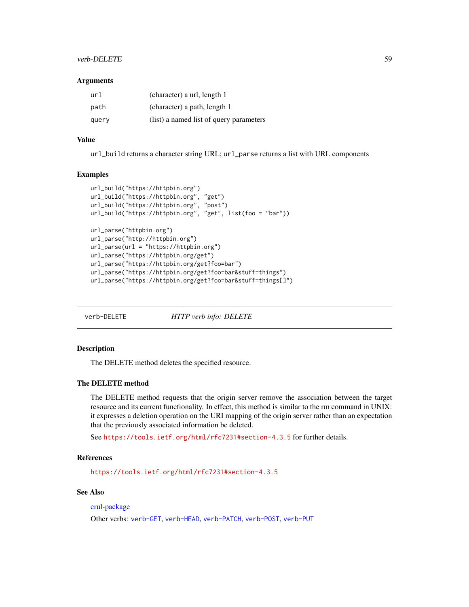# <span id="page-58-0"></span>verb-DELETE 59

#### **Arguments**

| url   | (character) a url, length 1             |
|-------|-----------------------------------------|
| path  | (character) a path, length 1            |
| query | (list) a named list of query parameters |

# Value

url\_build returns a character string URL; url\_parse returns a list with URL components

#### Examples

```
url_build("https://httpbin.org")
url_build("https://httpbin.org", "get")
url_build("https://httpbin.org", "post")
url_build("https://httpbin.org", "get", list(foo = "bar"))
url_parse("httpbin.org")
url_parse("http://httpbin.org")
url_parse(url = "https://httpbin.org")
url_parse("https://httpbin.org/get")
url_parse("https://httpbin.org/get?foo=bar")
url_parse("https://httpbin.org/get?foo=bar&stuff=things")
url_parse("https://httpbin.org/get?foo=bar&stuff=things[]")
```
<span id="page-58-1"></span>

verb-DELETE *HTTP verb info: DELETE*

# Description

The DELETE method deletes the specified resource.

# The DELETE method

The DELETE method requests that the origin server remove the association between the target resource and its current functionality. In effect, this method is similar to the rm command in UNIX: it expresses a deletion operation on the URI mapping of the origin server rather than an expectation that the previously associated information be deleted.

See <https://tools.ietf.org/html/rfc7231#section-4.3.5> for further details.

# References

<https://tools.ietf.org/html/rfc7231#section-4.3.5>

# See Also

[crul-package](#page-1-1)

Other verbs: [verb-GET](#page-59-1), [verb-HEAD](#page-60-1), [verb-PATCH](#page-61-1), [verb-POST](#page-62-1), [verb-PUT](#page-63-1)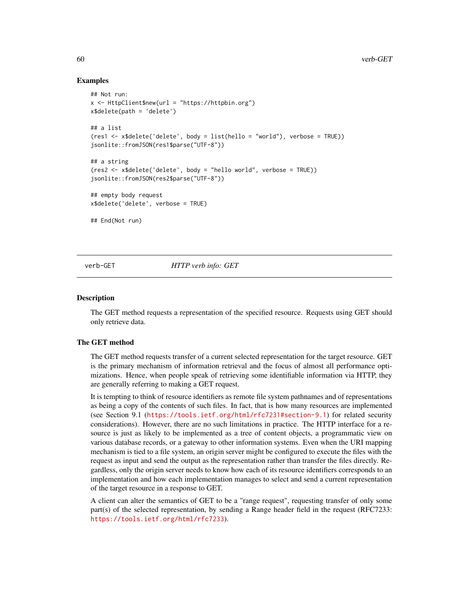#### Examples

```
## Not run:
x <- HttpClient$new(url = "https://httpbin.org")
x$delete(path = 'delete')
## a list
(res1 <- x$delete('delete', body = list(hello = "world"), verbose = TRUE))
jsonlite::fromJSON(res1$parse("UTF-8"))
## a string
(res2 <- x$delete('delete', body = "hello world", verbose = TRUE))
jsonlite::fromJSON(res2$parse("UTF-8"))
## empty body request
x$delete('delete', verbose = TRUE)
## End(Not run)
```
<span id="page-59-1"></span>

verb-GET *HTTP verb info: GET*

#### **Description**

The GET method requests a representation of the specified resource. Requests using GET should only retrieve data.

# The GET method

The GET method requests transfer of a current selected representation for the target resource. GET is the primary mechanism of information retrieval and the focus of almost all performance optimizations. Hence, when people speak of retrieving some identifiable information via HTTP, they are generally referring to making a GET request.

It is tempting to think of resource identifiers as remote file system pathnames and of representations as being a copy of the contents of such files. In fact, that is how many resources are implemented (see Section 9.1 (<https://tools.ietf.org/html/rfc7231#section-9.1>) for related security considerations). However, there are no such limitations in practice. The HTTP interface for a resource is just as likely to be implemented as a tree of content objects, a programmatic view on various database records, or a gateway to other information systems. Even when the URI mapping mechanism is tied to a file system, an origin server might be configured to execute the files with the request as input and send the output as the representation rather than transfer the files directly. Regardless, only the origin server needs to know how each of its resource identifiers corresponds to an implementation and how each implementation manages to select and send a current representation of the target resource in a response to GET.

A client can alter the semantics of GET to be a "range request", requesting transfer of only some part(s) of the selected representation, by sending a Range header field in the request (RFC7233: <https://tools.ietf.org/html/rfc7233>).

<span id="page-59-0"></span>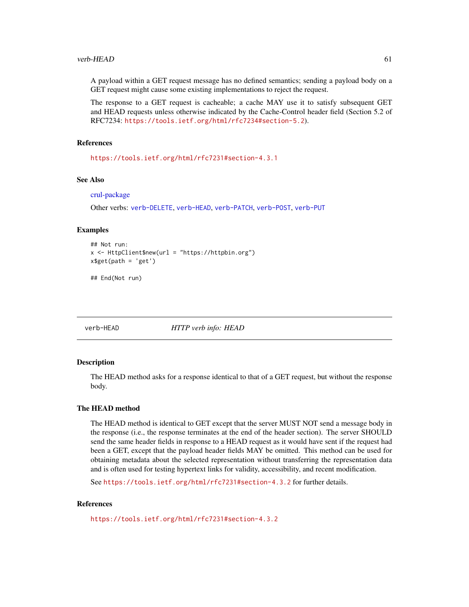#### <span id="page-60-0"></span>verb-HEAD 61

A payload within a GET request message has no defined semantics; sending a payload body on a GET request might cause some existing implementations to reject the request.

The response to a GET request is cacheable; a cache MAY use it to satisfy subsequent GET and HEAD requests unless otherwise indicated by the Cache-Control header field (Section 5.2 of RFC7234: <https://tools.ietf.org/html/rfc7234#section-5.2>).

#### References

<https://tools.ietf.org/html/rfc7231#section-4.3.1>

#### See Also

[crul-package](#page-1-1)

Other verbs: [verb-DELETE](#page-58-1), [verb-HEAD](#page-60-1), [verb-PATCH](#page-61-1), [verb-POST](#page-62-1), [verb-PUT](#page-63-1)

#### Examples

```
## Not run:
x <- HttpClient$new(url = "https://httpbin.org")
x$get(path = 'get')
```
## End(Not run)

<span id="page-60-1"></span>verb-HEAD *HTTP verb info: HEAD*

#### Description

The HEAD method asks for a response identical to that of a GET request, but without the response body.

# The HEAD method

The HEAD method is identical to GET except that the server MUST NOT send a message body in the response (i.e., the response terminates at the end of the header section). The server SHOULD send the same header fields in response to a HEAD request as it would have sent if the request had been a GET, except that the payload header fields MAY be omitted. This method can be used for obtaining metadata about the selected representation without transferring the representation data and is often used for testing hypertext links for validity, accessibility, and recent modification.

See <https://tools.ietf.org/html/rfc7231#section-4.3.2> for further details.

# References

<https://tools.ietf.org/html/rfc7231#section-4.3.2>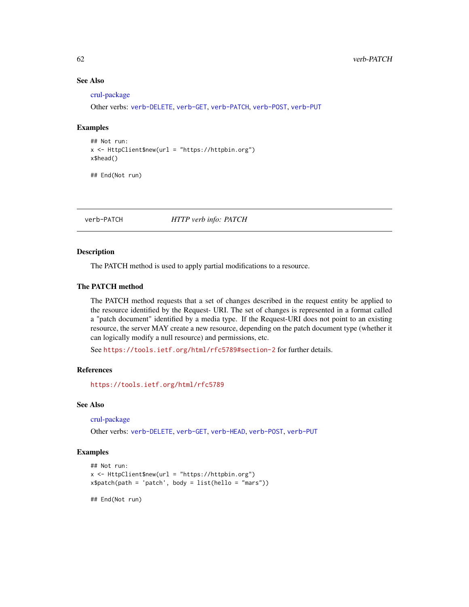# See Also

[crul-package](#page-1-1)

Other verbs: [verb-DELETE](#page-58-1), [verb-GET](#page-59-1), [verb-PATCH](#page-61-1), [verb-POST](#page-62-1), [verb-PUT](#page-63-1)

#### Examples

## Not run: x <- HttpClient\$new(url = "https://httpbin.org") x\$head()

## End(Not run)

<span id="page-61-1"></span>verb-PATCH *HTTP verb info: PATCH*

#### Description

The PATCH method is used to apply partial modifications to a resource.

# The PATCH method

The PATCH method requests that a set of changes described in the request entity be applied to the resource identified by the Request- URI. The set of changes is represented in a format called a "patch document" identified by a media type. If the Request-URI does not point to an existing resource, the server MAY create a new resource, depending on the patch document type (whether it can logically modify a null resource) and permissions, etc.

See <https://tools.ietf.org/html/rfc5789#section-2> for further details.

#### References

<https://tools.ietf.org/html/rfc5789>

# See Also

[crul-package](#page-1-1)

Other verbs: [verb-DELETE](#page-58-1), [verb-GET](#page-59-1), [verb-HEAD](#page-60-1), [verb-POST](#page-62-1), [verb-PUT](#page-63-1)

# Examples

```
## Not run:
x <- HttpClient$new(url = "https://httpbin.org")
x$patch(path = 'patch', body = list(hello = "mars"))
```
## End(Not run)

<span id="page-61-0"></span>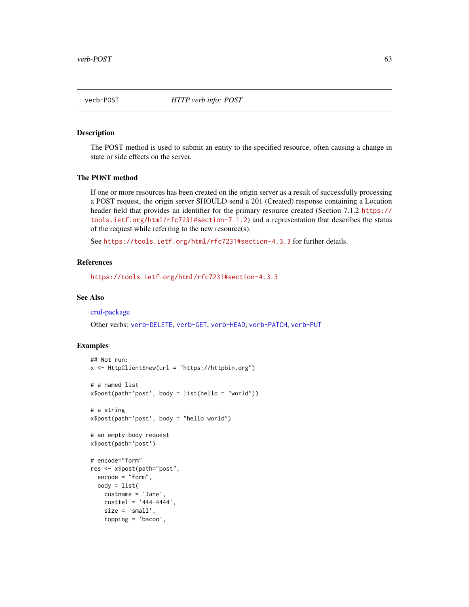<span id="page-62-1"></span><span id="page-62-0"></span>verb-POST *HTTP verb info: POST*

# Description

The POST method is used to submit an entity to the specified resource, often causing a change in state or side effects on the server.

# The POST method

If one or more resources has been created on the origin server as a result of successfully processing a POST request, the origin server SHOULD send a 201 (Created) response containing a Location header field that provides an identifier for the primary resource created (Section 7.1.2 [https://](https://tools.ietf.org/html/rfc7231#section-7.1.2) [tools.ietf.org/html/rfc7231#section-7.1.2](https://tools.ietf.org/html/rfc7231#section-7.1.2)) and a representation that describes the status of the request while referring to the new resource(s).

See <https://tools.ietf.org/html/rfc7231#section-4.3.3> for further details.

#### References

<https://tools.ietf.org/html/rfc7231#section-4.3.3>

#### See Also

[crul-package](#page-1-1)

Other verbs: [verb-DELETE](#page-58-1), [verb-GET](#page-59-1), [verb-HEAD](#page-60-1), [verb-PATCH](#page-61-1), [verb-PUT](#page-63-1)

#### Examples

```
## Not run:
x <- HttpClient$new(url = "https://httpbin.org")
# a named list
x$post(path='post', body = list(hello = "world"))
# a string
x$post(path='post', body = "hello world")
# an empty body request
x$post(path='post')
# encode="form"
res <- x$post(path="post",
 encode = "form",
 body = list(custname = 'Jane',
   custtel = '444-4444',
   size = 'small',
   topping = 'bacon',
```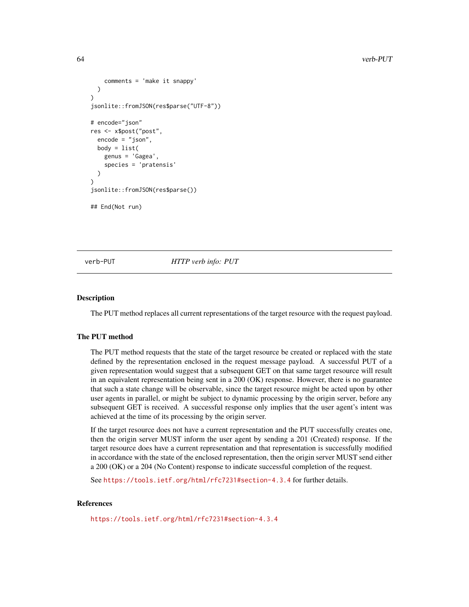```
comments = 'make it snappy'
 )
)
jsonlite::fromJSON(res$parse("UTF-8"))
# encode="json"
res <- x$post("post",
 encode = "json",
 body = list(genus = 'Gagea',
    species = 'pratensis'
 )
)
jsonlite::fromJSON(res$parse())
## End(Not run)
```
<span id="page-63-1"></span>

verb-PUT *HTTP verb info: PUT*

#### Description

The PUT method replaces all current representations of the target resource with the request payload.

# The PUT method

The PUT method requests that the state of the target resource be created or replaced with the state defined by the representation enclosed in the request message payload. A successful PUT of a given representation would suggest that a subsequent GET on that same target resource will result in an equivalent representation being sent in a 200 (OK) response. However, there is no guarantee that such a state change will be observable, since the target resource might be acted upon by other user agents in parallel, or might be subject to dynamic processing by the origin server, before any subsequent GET is received. A successful response only implies that the user agent's intent was achieved at the time of its processing by the origin server.

If the target resource does not have a current representation and the PUT successfully creates one, then the origin server MUST inform the user agent by sending a 201 (Created) response. If the target resource does have a current representation and that representation is successfully modified in accordance with the state of the enclosed representation, then the origin server MUST send either a 200 (OK) or a 204 (No Content) response to indicate successful completion of the request.

See <https://tools.ietf.org/html/rfc7231#section-4.3.4> for further details.

#### **References**

<https://tools.ietf.org/html/rfc7231#section-4.3.4>

<span id="page-63-0"></span>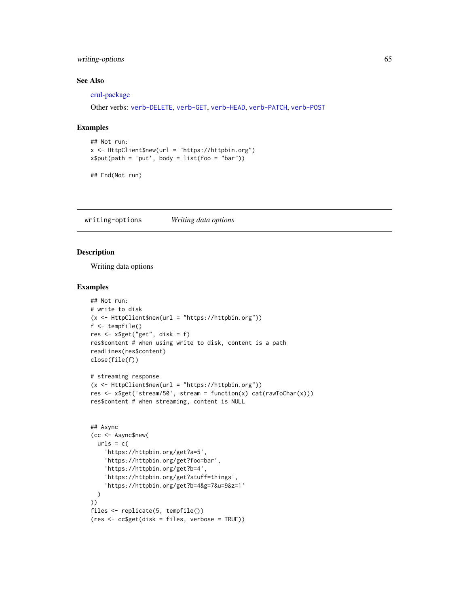# <span id="page-64-0"></span>writing-options 65

# See Also

[crul-package](#page-1-1)

Other verbs: [verb-DELETE](#page-58-1), [verb-GET](#page-59-1), [verb-HEAD](#page-60-1), [verb-PATCH](#page-61-1), [verb-POST](#page-62-1)

#### Examples

```
## Not run:
x <- HttpClient$new(url = "https://httpbin.org")
x$put(path = 'put', body = list(foo = "bar")
```

```
## End(Not run)
```
<span id="page-64-1"></span>writing-options *Writing data options*

# Description

Writing data options

#### Examples

```
## Not run:
# write to disk
(x \leq HttpClient$new(url = "https://httpbin.org"))f <- tempfile()
res <- x$get("get", disk = f)
res$content # when using write to disk, content is a path
readLines(res$content)
close(file(f))
# streaming response
(x <- HttpClient$new(url = "https://httpbin.org"))
res <- x$get('stream/50', stream = function(x) cat(rawToChar(x)))
res$content # when streaming, content is NULL
## Async
(cc <- Async$new(
  urls = c(
    'https://httpbin.org/get?a=5',
    'https://httpbin.org/get?foo=bar',
    'https://httpbin.org/get?b=4',
    'https://httpbin.org/get?stuff=things',
    'https://httpbin.org/get?b=4&g=7&u=9&z=1'
 )
))
files <- replicate(5, tempfile())
(res <- cc$get(disk = files, verbose = TRUE))
```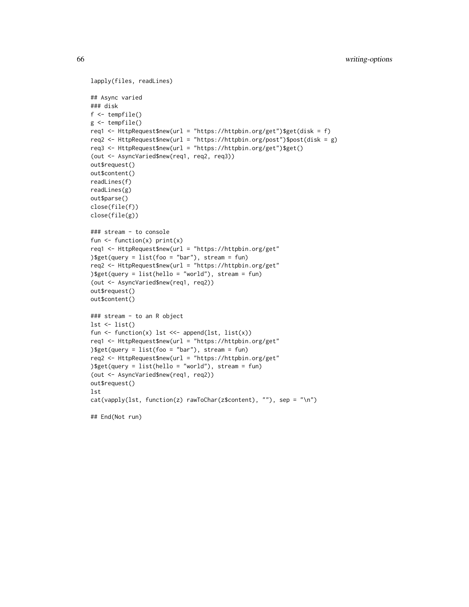```
lapply(files, readLines)
## Async varied
### disk
f <- tempfile()
g <- tempfile()
req1 <- HttpRequest$new(url = "https://httpbin.org/get")$get(disk = f)
req2 <- HttpRequest$new(url = "https://httpbin.org/post")$post(disk = g)
req3 <- HttpRequest$new(url = "https://httpbin.org/get")$get()
(out <- AsyncVaried$new(req1, req2, req3))
out$request()
out$content()
readLines(f)
readLines(g)
out$parse()
close(file(f))
close(file(g))
### stream - to console
fun \leq function(x) print(x)
req1 <- HttpRequest$new(url = "https://httpbin.org/get"
) \sqrt{e^{t}} (query = list(foo = "bar"), stream = fun)
req2 <- HttpRequest$new(url = "https://httpbin.org/get"
)$get(query = list(hello = "world"), stream = fun)
(out <- AsyncVaried$new(req1, req2))
out$request()
out$content()
### stream - to an R object
lst \leftarrow list()fun <- function(x) lst <<- append(lst, list(x))
req1 <- HttpRequest$new(url = "https://httpbin.org/get"
)\get(query = list(foo = "bar"), stream = fun)
req2 <- HttpRequest$new(url = "https://httpbin.org/get"
)$get(query = list(hello = "world"), stream = fun)
(out <- AsyncVaried$new(req1, req2))
out$request()
lst
cat(vapply(lst, function(z) rawToChar(z$content), ""), sep = "\n")
## End(Not run)
```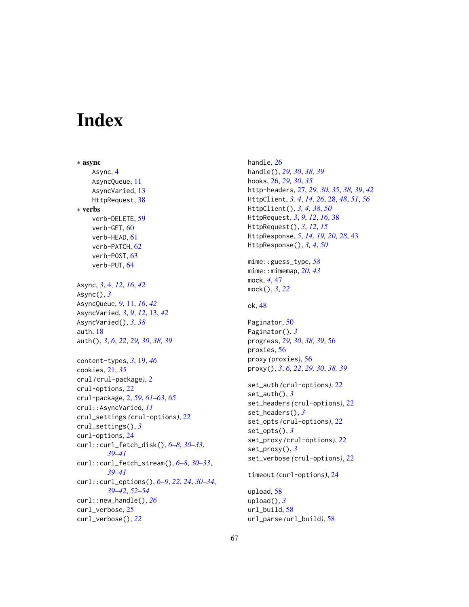# <span id="page-66-0"></span>**Index**

∗ async Async, [4](#page-3-0) AsyncQueue, [11](#page-10-0) AsyncVaried, [13](#page-12-0) HttpRequest, [38](#page-37-0) ∗ verbs verb-DELETE, [59](#page-58-0) verb-GET, [60](#page-59-0) verb-HEAD, [61](#page-60-0) verb-PATCH, [62](#page-61-0) verb-POST, [63](#page-62-0) verb-PUT, [64](#page-63-0) Async, *[3](#page-2-0)*, [4,](#page-3-0) *[12](#page-11-2)*, *[16](#page-15-2)*, *[42](#page-41-1)* Async(), *[3](#page-2-0)* AsyncQueue, *[9](#page-8-1)*, [11,](#page-10-0) *[16](#page-15-2)*, *[42](#page-41-1)* AsyncVaried, *[3](#page-2-0)*, *[9](#page-8-1)*, *[12](#page-11-2)*, [13,](#page-12-0) *[42](#page-41-1)* AsyncVaried(), *[3](#page-2-0)*, *[38](#page-37-0)* auth, [18](#page-17-0) auth(), *[3](#page-2-0)*, *[6](#page-5-2)*, *[22](#page-21-0)*, *[29,](#page-28-0) [30](#page-29-0)*, *[38,](#page-37-0) [39](#page-38-0)* content-types, *[3](#page-2-0)*, [19,](#page-18-0) *[46](#page-45-0)* cookies, [21,](#page-20-0) *[35](#page-34-2)* crul *(*crul-package*)*, [2](#page-1-0) crul-options, [22](#page-21-0) crul-package, [2,](#page-1-0) *[59](#page-58-0)*, *[61–](#page-60-0)[63](#page-62-0)*, *[65](#page-64-0)* crul::AsyncVaried, *[11](#page-10-0)* crul\_settings *(*crul-options*)*, [22](#page-21-0) crul\_settings(), *[3](#page-2-0)* curl-options, [24](#page-23-0) curl::curl\_fetch\_disk(), *[6–](#page-5-2)[8](#page-7-3)*, *[30–](#page-29-0)[33](#page-32-1)*, *[39](#page-38-0)[–41](#page-40-0)* curl::curl\_fetch\_stream(), *[6–](#page-5-2)[8](#page-7-3)*, *[30–](#page-29-0)[33](#page-32-1)*, *[39](#page-38-0)[–41](#page-40-0)* curl::curl\_options(), *[6–](#page-5-2)[9](#page-8-1)*, *[22](#page-21-0)*, *[24](#page-23-0)*, *[30–](#page-29-0)[34](#page-33-0)*, *[39](#page-38-0)[–42](#page-41-1)*, *[52](#page-51-0)[–54](#page-53-0)* curl::new\_handle(), *[26](#page-25-0)* curl\_verbose, [25](#page-24-0) curl\_verbose(), *[22](#page-21-0)*

handle, [26](#page-25-0) handle(), *[29,](#page-28-0) [30](#page-29-0)*, *[38,](#page-37-0) [39](#page-38-0)* hooks, [26,](#page-25-0) *[29,](#page-28-0) [30](#page-29-0)*, *[35](#page-34-2)* http-headers, [27,](#page-26-0) *[29,](#page-28-0) [30](#page-29-0)*, *[35](#page-34-2)*, *[38,](#page-37-0) [39](#page-38-0)*, *[42](#page-41-1)* HttpClient, *[3,](#page-2-0) [4](#page-3-0)*, *[14](#page-13-0)*, *[26](#page-25-0)*, [28,](#page-27-0) *[48](#page-47-0)*, *[51](#page-50-0)*, *[56](#page-55-0)* HttpClient(), *[3,](#page-2-0) [4](#page-3-0)*, *[38](#page-37-0)*, *[50](#page-49-0)* HttpRequest, *[3](#page-2-0)*, *[9](#page-8-1)*, *[12](#page-11-2)*, *[16](#page-15-2)*, [38](#page-37-0) HttpRequest(), *[3](#page-2-0)*, *[12](#page-11-2)*, *[15](#page-14-4)* HttpResponse, *[5](#page-4-2)*, *[14](#page-13-0)*, *[19,](#page-18-0) [20](#page-19-0)*, *[28](#page-27-0)*, [43](#page-42-0) HttpResponse(), *[3,](#page-2-0) [4](#page-3-0)*, *[50](#page-49-0)* mime::guess\_type, *[58](#page-57-0)* mime::mimemap, *[20](#page-19-0)*, *[43](#page-42-0)* mock, *[4](#page-3-0)*, [47](#page-46-0) mock(), *[3](#page-2-0)*, *[22](#page-21-0)* ok, [48](#page-47-0) Paginator, [50](#page-49-0) Paginator(), *[3](#page-2-0)* progress, *[29,](#page-28-0) [30](#page-29-0)*, *[38,](#page-37-0) [39](#page-38-0)*, [56](#page-55-0) proxies, [56](#page-55-0) proxy *(*proxies*)*, [56](#page-55-0) proxy(), *[3](#page-2-0)*, *[6](#page-5-2)*, *[22](#page-21-0)*, *[29,](#page-28-0) [30](#page-29-0)*, *[38,](#page-37-0) [39](#page-38-0)* set\_auth *(*crul-options*)*, [22](#page-21-0) set\_auth(), *[3](#page-2-0)* set\_headers *(*crul-options*)*, [22](#page-21-0) set\_headers(), *[3](#page-2-0)* set\_opts *(*crul-options*)*, [22](#page-21-0) set\_opts(), *[3](#page-2-0)* set\_proxy *(*crul-options*)*, [22](#page-21-0) set\_proxy(), *[3](#page-2-0)* set\_verbose *(*crul-options*)*, [22](#page-21-0) timeout *(*curl-options*)*, [24](#page-23-0) upload, [58](#page-57-0) upload(), *[3](#page-2-0)* url\_build, [58](#page-57-0) url\_parse *(*url\_build*)*, [58](#page-57-0)